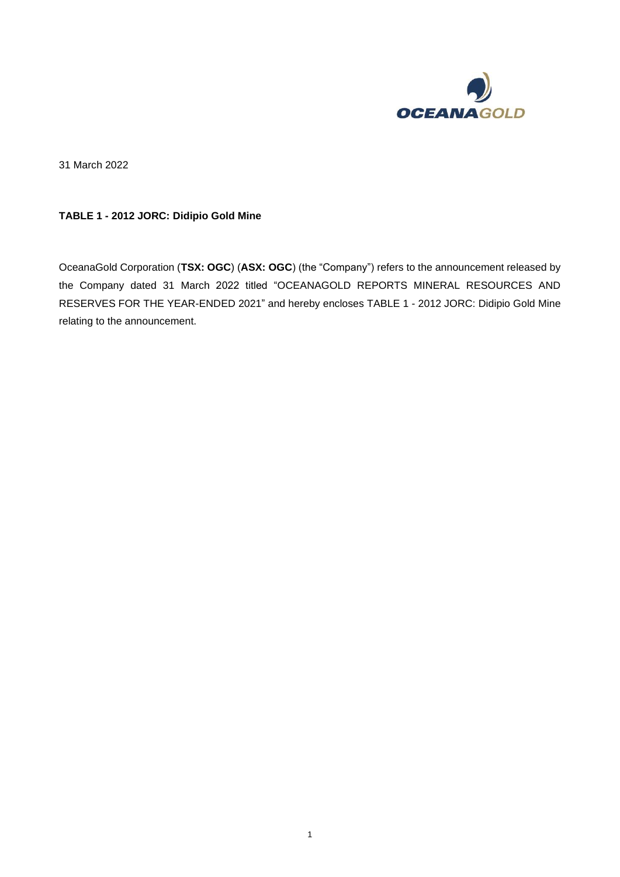

31 March 2022

#### **TABLE 1 - 2012 JORC: Didipio Gold Mine**

OceanaGold Corporation (**TSX: OGC**) (**ASX: OGC**) (the "Company") refers to the announcement released by the Company dated 31 March 2022 titled "OCEANAGOLD REPORTS MINERAL RESOURCES AND RESERVES FOR THE YEAR-ENDED 2021" and hereby encloses TABLE 1 - 2012 JORC: Didipio Gold Mine relating to the announcement.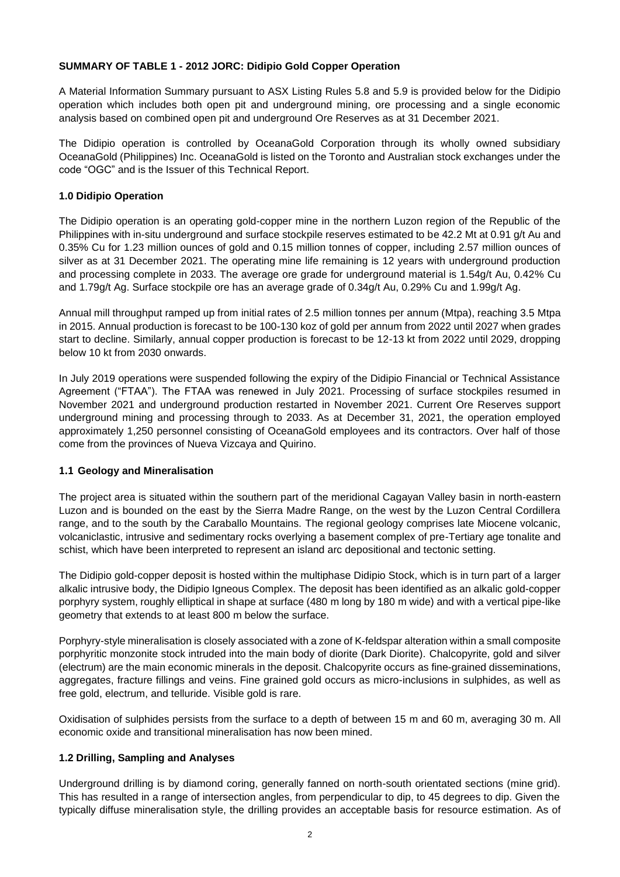#### **SUMMARY OF TABLE 1 - 2012 JORC: Didipio Gold Copper Operation**

A Material Information Summary pursuant to ASX Listing Rules 5.8 and 5.9 is provided below for the Didipio operation which includes both open pit and underground mining, ore processing and a single economic analysis based on combined open pit and underground Ore Reserves as at 31 December 2021.

The Didipio operation is controlled by OceanaGold Corporation through its wholly owned subsidiary OceanaGold (Philippines) Inc. OceanaGold is listed on the Toronto and Australian stock exchanges under the code "OGC" and is the Issuer of this Technical Report.

#### **1.0 Didipio Operation**

The Didipio operation is an operating gold-copper mine in the northern Luzon region of the Republic of the Philippines with in-situ underground and surface stockpile reserves estimated to be 42.2 Mt at 0.91 g/t Au and 0.35% Cu for 1.23 million ounces of gold and 0.15 million tonnes of copper, including 2.57 million ounces of silver as at 31 December 2021. The operating mine life remaining is 12 years with underground production and processing complete in 2033. The average ore grade for underground material is 1.54g/t Au, 0.42% Cu and 1.79g/t Ag. Surface stockpile ore has an average grade of 0.34g/t Au, 0.29% Cu and 1.99g/t Ag.

Annual mill throughput ramped up from initial rates of 2.5 million tonnes per annum (Mtpa), reaching 3.5 Mtpa in 2015. Annual production is forecast to be 100-130 koz of gold per annum from 2022 until 2027 when grades start to decline. Similarly, annual copper production is forecast to be 12-13 kt from 2022 until 2029, dropping below 10 kt from 2030 onwards.

In July 2019 operations were suspended following the expiry of the Didipio Financial or Technical Assistance Agreement ("FTAA"). The FTAA was renewed in July 2021. Processing of surface stockpiles resumed in November 2021 and underground production restarted in November 2021. Current Ore Reserves support underground mining and processing through to 2033. As at December 31, 2021, the operation employed approximately 1,250 personnel consisting of OceanaGold employees and its contractors. Over half of those come from the provinces of Nueva Vizcaya and Quirino.

### **1.1 Geology and Mineralisation**

The project area is situated within the southern part of the meridional Cagayan Valley basin in north-eastern Luzon and is bounded on the east by the Sierra Madre Range, on the west by the Luzon Central Cordillera range, and to the south by the Caraballo Mountains. The regional geology comprises late Miocene volcanic, volcaniclastic, intrusive and sedimentary rocks overlying a basement complex of pre-Tertiary age tonalite and schist, which have been interpreted to represent an island arc depositional and tectonic setting.

The Didipio gold-copper deposit is hosted within the multiphase Didipio Stock, which is in turn part of a larger alkalic intrusive body, the Didipio Igneous Complex. The deposit has been identified as an alkalic gold-copper porphyry system, roughly elliptical in shape at surface (480 m long by 180 m wide) and with a vertical pipe-like geometry that extends to at least 800 m below the surface.

Porphyry-style mineralisation is closely associated with a zone of K-feldspar alteration within a small composite porphyritic monzonite stock intruded into the main body of diorite (Dark Diorite). Chalcopyrite, gold and silver (electrum) are the main economic minerals in the deposit. Chalcopyrite occurs as fine-grained disseminations, aggregates, fracture fillings and veins. Fine grained gold occurs as micro-inclusions in sulphides, as well as free gold, electrum, and telluride. Visible gold is rare.

Oxidisation of sulphides persists from the surface to a depth of between 15 m and 60 m, averaging 30 m. All economic oxide and transitional mineralisation has now been mined.

#### **1.2 Drilling, Sampling and Analyses**

Underground drilling is by diamond coring, generally fanned on north-south orientated sections (mine grid). This has resulted in a range of intersection angles, from perpendicular to dip, to 45 degrees to dip. Given the typically diffuse mineralisation style, the drilling provides an acceptable basis for resource estimation. As of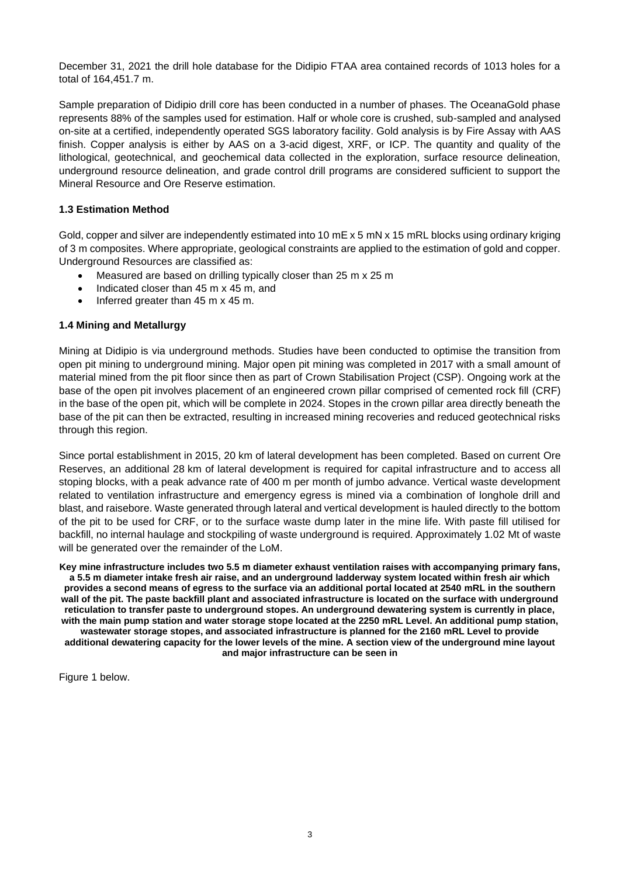December 31, 2021 the drill hole database for the Didipio FTAA area contained records of 1013 holes for a total of 164,451.7 m.

Sample preparation of Didipio drill core has been conducted in a number of phases. The OceanaGold phase represents 88% of the samples used for estimation. Half or whole core is crushed, sub-sampled and analysed on-site at a certified, independently operated SGS laboratory facility. Gold analysis is by Fire Assay with AAS finish. Copper analysis is either by AAS on a 3-acid digest, XRF, or ICP. The quantity and quality of the lithological, geotechnical, and geochemical data collected in the exploration, surface resource delineation, underground resource delineation, and grade control drill programs are considered sufficient to support the Mineral Resource and Ore Reserve estimation.

#### **1.3 Estimation Method**

Gold, copper and silver are independently estimated into 10 mE x 5 mN x 15 mRL blocks using ordinary kriging of 3 m composites. Where appropriate, geological constraints are applied to the estimation of gold and copper. Underground Resources are classified as:

- Measured are based on drilling typically closer than 25 m x 25 m
- Indicated closer than 45 m x 45 m, and
- Inferred greater than 45 m x 45 m.

#### **1.4 Mining and Metallurgy**

Mining at Didipio is via underground methods. Studies have been conducted to optimise the transition from open pit mining to underground mining. Major open pit mining was completed in 2017 with a small amount of material mined from the pit floor since then as part of Crown Stabilisation Project (CSP). Ongoing work at the base of the open pit involves placement of an engineered crown pillar comprised of cemented rock fill (CRF) in the base of the open pit, which will be complete in 2024. Stopes in the crown pillar area directly beneath the base of the pit can then be extracted, resulting in increased mining recoveries and reduced geotechnical risks through this region.

Since portal establishment in 2015, 20 km of lateral development has been completed. Based on current Ore Reserves, an additional 28 km of lateral development is required for capital infrastructure and to access all stoping blocks, with a peak advance rate of 400 m per month of jumbo advance. Vertical waste development related to ventilation infrastructure and emergency egress is mined via a combination of longhole drill and blast, and raisebore. Waste generated through lateral and vertical development is hauled directly to the bottom of the pit to be used for CRF, or to the surface waste dump later in the mine life. With paste fill utilised for backfill, no internal haulage and stockpiling of waste underground is required. Approximately 1.02 Mt of waste will be generated over the remainder of the LoM.

**Key mine infrastructure includes two 5.5 m diameter exhaust ventilation raises with accompanying primary fans, a 5.5 m diameter intake fresh air raise, and an underground ladderway system located within fresh air which provides a second means of egress to the surface via an additional portal located at 2540 mRL in the southern wall of the pit. The paste backfill plant and associated infrastructure is located on the surface with underground reticulation to transfer paste to underground stopes. An underground dewatering system is currently in place, with the main pump station and water storage stope located at the 2250 mRL Level. An additional pump station, wastewater storage stopes, and associated infrastructure is planned for the 2160 mRL Level to provide additional dewatering capacity for the lower levels of the mine. A section view of the underground mine layout and major infrastructure can be seen in**

<span id="page-2-0"></span>[Figure 1](#page-2-0) below.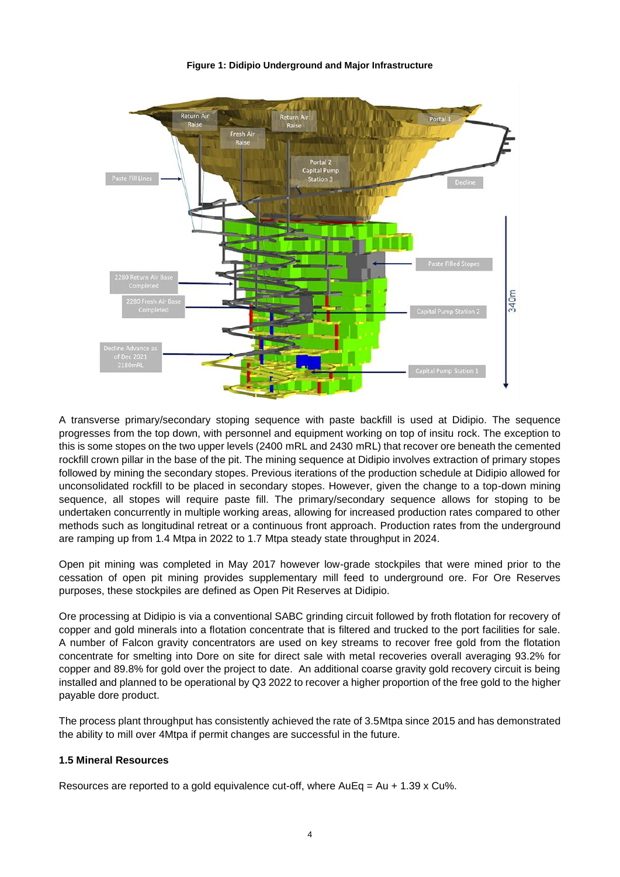**Figure 1: Didipio Underground and Major Infrastructure**



A transverse primary/secondary stoping sequence with paste backfill is used at Didipio. The sequence progresses from the top down, with personnel and equipment working on top of insitu rock. The exception to this is some stopes on the two upper levels (2400 mRL and 2430 mRL) that recover ore beneath the cemented rockfill crown pillar in the base of the pit. The mining sequence at Didipio involves extraction of primary stopes followed by mining the secondary stopes. Previous iterations of the production schedule at Didipio allowed for unconsolidated rockfill to be placed in secondary stopes. However, given the change to a top-down mining sequence, all stopes will require paste fill. The primary/secondary sequence allows for stoping to be undertaken concurrently in multiple working areas, allowing for increased production rates compared to other methods such as longitudinal retreat or a continuous front approach. Production rates from the underground are ramping up from 1.4 Mtpa in 2022 to 1.7 Mtpa steady state throughput in 2024.

Open pit mining was completed in May 2017 however low-grade stockpiles that were mined prior to the cessation of open pit mining provides supplementary mill feed to underground ore. For Ore Reserves purposes, these stockpiles are defined as Open Pit Reserves at Didipio.

Ore processing at Didipio is via a conventional SABC grinding circuit followed by froth flotation for recovery of copper and gold minerals into a flotation concentrate that is filtered and trucked to the port facilities for sale. A number of Falcon gravity concentrators are used on key streams to recover free gold from the flotation concentrate for smelting into Dore on site for direct sale with metal recoveries overall averaging 93.2% for copper and 89.8% for gold over the project to date. An additional coarse gravity gold recovery circuit is being installed and planned to be operational by Q3 2022 to recover a higher proportion of the free gold to the higher payable dore product.

The process plant throughput has consistently achieved the rate of 3.5Mtpa since 2015 and has demonstrated the ability to mill over 4Mtpa if permit changes are successful in the future.

### **1.5 Mineral Resources**

Resources are reported to a gold equivalence cut-off, where  $AuEq = Au + 1.39 \times Cu\%$ .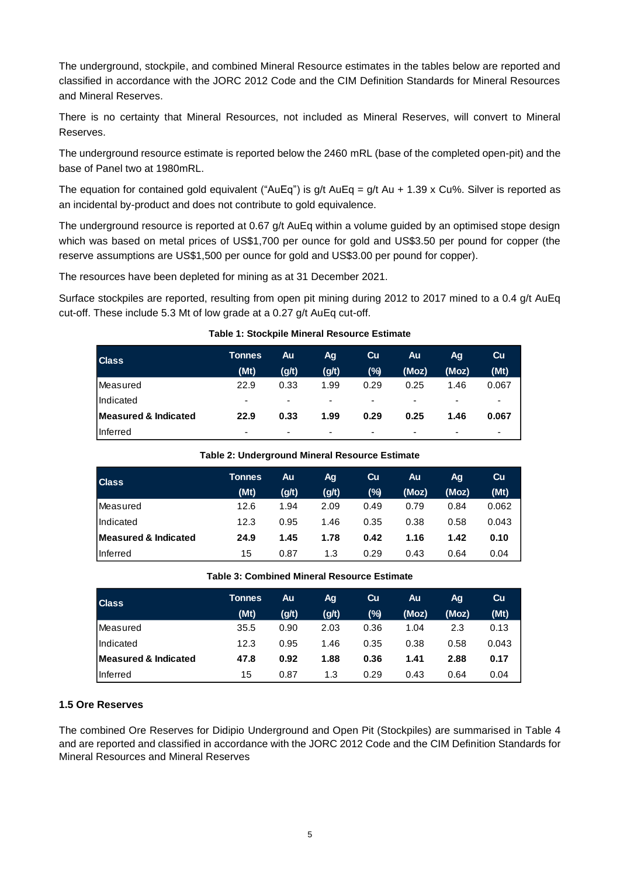The underground, stockpile, and combined Mineral Resource estimates in the tables below are reported and classified in accordance with the JORC 2012 Code and the CIM Definition Standards for Mineral Resources and Mineral Reserves.

There is no certainty that Mineral Resources, not included as Mineral Reserves, will convert to Mineral Reserves.

The underground resource estimate is reported below the 2460 mRL (base of the completed open-pit) and the base of Panel two at 1980mRL.

The equation for contained gold equivalent ("AuEq") is  $q/t$  AuEq =  $q/t$  Au + 1.39 x Cu%. Silver is reported as an incidental by-product and does not contribute to gold equivalence.

The underground resource is reported at 0.67 g/t AuEq within a volume guided by an optimised stope design which was based on metal prices of US\$1,700 per ounce for gold and US\$3.50 per pound for copper (the reserve assumptions are US\$1,500 per ounce for gold and US\$3.00 per pound for copper).

The resources have been depleted for mining as at 31 December 2021.

Surface stockpiles are reported, resulting from open pit mining during 2012 to 2017 mined to a 0.4 g/t AuEq cut-off. These include 5.3 Mt of low grade at a 0.27 g/t AuEq cut-off.

| <b>Class</b>                    | <b>Tonnes</b><br>(Mt)    | Au<br>(g/t)              | Ag<br>(g/t)              | Cu<br>(%)                | Au<br>(Moz)              | Ag<br>(Moz)              | Cu<br>(Mt)               |
|---------------------------------|--------------------------|--------------------------|--------------------------|--------------------------|--------------------------|--------------------------|--------------------------|
| Measured                        | 22.9                     | 0.33                     | 1.99                     | 0.29                     | 0.25                     | 1.46                     | 0.067                    |
| Indicated                       | $\overline{\phantom{0}}$ | $\overline{\phantom{0}}$ | $\overline{\phantom{0}}$ | $\overline{\phantom{0}}$ | $\overline{\phantom{0}}$ | $\overline{\phantom{0}}$ | ٠                        |
| <b>Measured &amp; Indicated</b> | 22.9                     | 0.33                     | 1.99                     | 0.29                     | 0.25                     | 1.46                     | 0.067                    |
| Inferred                        | -                        | $\overline{\phantom{0}}$ | $\overline{\phantom{0}}$ | ٠                        | $\overline{\phantom{0}}$ | $\overline{\phantom{0}}$ | $\overline{\phantom{a}}$ |

#### **Table 1: Stockpile Mineral Resource Estimate**

| <b>Class</b>         | <b>Tonnes</b> | Au.   | Ag    | Cu     | Au    | Ag.   | Cu    |
|----------------------|---------------|-------|-------|--------|-------|-------|-------|
|                      | (Mt)          | (g/t) | (g/t) | $(\%)$ | (Moz) | (Moz) | (Mt)  |
| lMeasured            | 12.6          | 1.94  | 2.09  | 0.49   | 0.79  | 0.84  | 0.062 |
| Indicated            | 12.3          | 0.95  | 1.46  | 0.35   | 0.38  | 0.58  | 0.043 |
| Measured & Indicated | 24.9          | 1.45  | 1.78  | 0.42   | 1.16  | 1.42  | 0.10  |
| Inferred             | 15            | 0.87  | 1.3   | 0.29   | 0.43  | 0.64  | 0.04  |

#### **Table 3: Combined Mineral Resource Estimate**

| <b>Class</b>         | <b>Tonnes</b> | Au    | Ag    | Cu   | Au    | Aq.   | Cu    |
|----------------------|---------------|-------|-------|------|-------|-------|-------|
|                      | (Mt)          | (g/t) | (g/t) | (%)  | (Moz) | (Moz) | (Mt)  |
| <b>IMeasured</b>     | 35.5          | 0.90  | 2.03  | 0.36 | 1.04  | 2.3   | 0.13  |
| <b>Indicated</b>     | 12.3          | 0.95  | 1.46  | 0.35 | 0.38  | 0.58  | 0.043 |
| Measured & Indicated | 47.8          | 0.92  | 1.88  | 0.36 | 1.41  | 2.88  | 0.17  |
| <b>Inferred</b>      | 15            | 0.87  | 1.3   | 0.29 | 0.43  | 0.64  | 0.04  |

#### **1.5 Ore Reserves**

The combined Ore Reserves for Didipio Underground and Open Pit (Stockpiles) are summarised in [Table 4](#page-5-0) and are reported and classified in accordance with the JORC 2012 Code and the CIM Definition Standards for Mineral Resources and Mineral Reserves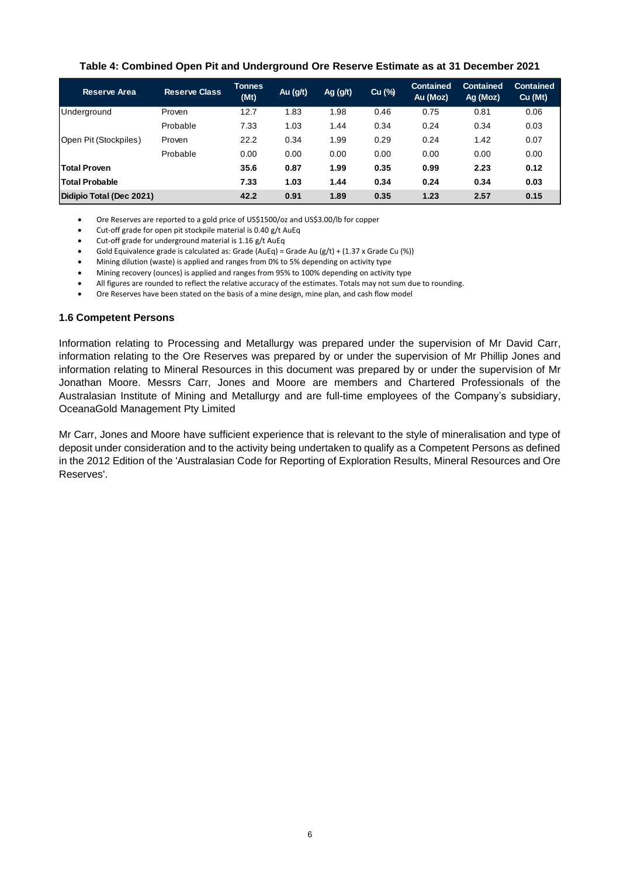#### **Table 4: Combined Open Pit and Underground Ore Reserve Estimate as at 31 December 2021**

<span id="page-5-0"></span>

| <b>Reserve Area</b>      | <b>Reserve Class</b> | <b>Tonnes</b><br>(Mt) | Au (g/t) | Ag (g/t) | Cu (%) | <b>Contained</b><br>Au (Moz) | <b>Contained</b><br>Ag (Moz) | <b>Contained</b><br>Cu (Mt) |
|--------------------------|----------------------|-----------------------|----------|----------|--------|------------------------------|------------------------------|-----------------------------|
| <b>IUnderground</b>      | Proven               | 12.7                  | 1.83     | 1.98     | 0.46   | 0.75                         | 0.81                         | 0.06                        |
|                          | Probable             | 7.33                  | 1.03     | 1.44     | 0.34   | 0.24                         | 0.34                         | 0.03                        |
| Open Pit (Stockpiles)    | Proven               | 22.2                  | 0.34     | 1.99     | 0.29   | 0.24                         | 1.42                         | 0.07                        |
|                          | Probable             | 0.00                  | 0.00     | 0.00     | 0.00   | 0.00                         | 0.00                         | 0.00                        |
| <b>Total Proven</b>      |                      | 35.6                  | 0.87     | 1.99     | 0.35   | 0.99                         | 2.23                         | 0.12                        |
| <b>Total Probable</b>    |                      | 7.33                  | 1.03     | 1.44     | 0.34   | 0.24                         | 0.34                         | 0.03                        |
| Didipio Total (Dec 2021) |                      | 42.2                  | 0.91     | 1.89     | 0.35   | 1.23                         | 2.57                         | 0.15                        |

• Ore Reserves are reported to a gold price of US\$1500/oz and US\$3.00/lb for copper

- Cut-off grade for open pit stockpile material is 0.40 g/t AuEq
- Cut-off grade for underground material is 1.16 g/t AuEq
- Gold Equivalence grade is calculated as: Grade (AuEq) = Grade Au (g/t) + (1.37 x Grade Cu (%))
- Mining dilution (waste) is applied and ranges from 0% to 5% depending on activity type
- Mining recovery (ounces) is applied and ranges from 95% to 100% depending on activity type
- All figures are rounded to reflect the relative accuracy of the estimates. Totals may not sum due to rounding.
- Ore Reserves have been stated on the basis of a mine design, mine plan, and cash flow model

#### **1.6 Competent Persons**

Information relating to Processing and Metallurgy was prepared under the supervision of Mr David Carr, information relating to the Ore Reserves was prepared by or under the supervision of Mr Phillip Jones and information relating to Mineral Resources in this document was prepared by or under the supervision of Mr Jonathan Moore. Messrs Carr, Jones and Moore are members and Chartered Professionals of the Australasian Institute of Mining and Metallurgy and are full-time employees of the Company's subsidiary, OceanaGold Management Pty Limited

Mr Carr, Jones and Moore have sufficient experience that is relevant to the style of mineralisation and type of deposit under consideration and to the activity being undertaken to qualify as a Competent Persons as defined in the 2012 Edition of the 'Australasian Code for Reporting of Exploration Results, Mineral Resources and Ore Reserves'.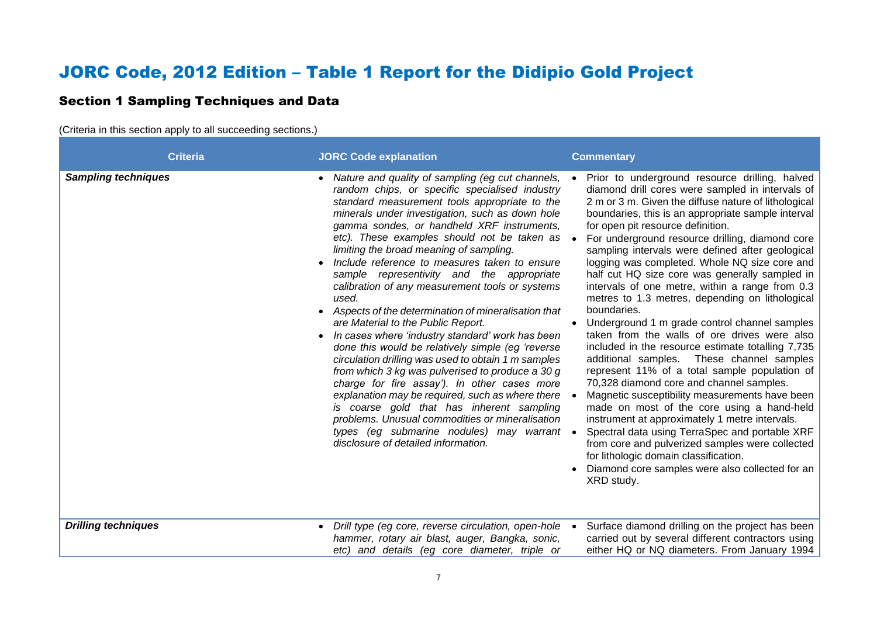# JORC Code, 2012 Edition – Table 1 Report for the Didipio Gold Project

## Section 1 Sampling Techniques and Data

(Criteria in this section apply to all succeeding sections.)

| <b>Criteria</b>            | <b>JORC Code explanation</b>                                                                                                                                                                                                                                                                                                                                                                                                                                                                                                                                                                                                                                                                                                                                                                                                                                                                                                                                                                                                                                                                                                   | <b>Commentary</b>                                                                                                                                                                                                                                                                                                                                                                                                                                                                                                                                                                                                                                                                                                                                                                                                                                                                                                                                                                                                                                                                                                                                                                                                                                     |
|----------------------------|--------------------------------------------------------------------------------------------------------------------------------------------------------------------------------------------------------------------------------------------------------------------------------------------------------------------------------------------------------------------------------------------------------------------------------------------------------------------------------------------------------------------------------------------------------------------------------------------------------------------------------------------------------------------------------------------------------------------------------------------------------------------------------------------------------------------------------------------------------------------------------------------------------------------------------------------------------------------------------------------------------------------------------------------------------------------------------------------------------------------------------|-------------------------------------------------------------------------------------------------------------------------------------------------------------------------------------------------------------------------------------------------------------------------------------------------------------------------------------------------------------------------------------------------------------------------------------------------------------------------------------------------------------------------------------------------------------------------------------------------------------------------------------------------------------------------------------------------------------------------------------------------------------------------------------------------------------------------------------------------------------------------------------------------------------------------------------------------------------------------------------------------------------------------------------------------------------------------------------------------------------------------------------------------------------------------------------------------------------------------------------------------------|
| <b>Sampling techniques</b> | Nature and quality of sampling (eg cut channels,<br>random chips, or specific specialised industry<br>standard measurement tools appropriate to the<br>minerals under investigation, such as down hole<br>gamma sondes, or handheld XRF instruments,<br>etc). These examples should not be taken as •<br>limiting the broad meaning of sampling.<br>Include reference to measures taken to ensure<br>sample representivity and the appropriate<br>calibration of any measurement tools or systems<br>used.<br>Aspects of the determination of mineralisation that<br>are Material to the Public Report.<br>In cases where 'industry standard' work has been<br>done this would be relatively simple (eg 'reverse<br>circulation drilling was used to obtain 1 m samples<br>from which 3 kg was pulverised to produce a 30 g<br>charge for fire assay'). In other cases more<br>explanation may be required, such as where there $\bullet$<br>is coarse gold that has inherent sampling<br>problems. Unusual commodities or mineralisation<br>types (eg submarine nodules) may warrant •<br>disclosure of detailed information. | Prior to underground resource drilling, halved<br>diamond drill cores were sampled in intervals of<br>2 m or 3 m. Given the diffuse nature of lithological<br>boundaries, this is an appropriate sample interval<br>for open pit resource definition.<br>For underground resource drilling, diamond core<br>sampling intervals were defined after geological<br>logging was completed. Whole NQ size core and<br>half cut HQ size core was generally sampled in<br>intervals of one metre, within a range from 0.3<br>metres to 1.3 metres, depending on lithological<br>boundaries.<br>Underground 1 m grade control channel samples<br>taken from the walls of ore drives were also<br>included in the resource estimate totalling 7,735<br>additional samples. These channel samples<br>represent 11% of a total sample population of<br>70,328 diamond core and channel samples.<br>Magnetic susceptibility measurements have been<br>made on most of the core using a hand-held<br>instrument at approximately 1 metre intervals.<br>Spectral data using TerraSpec and portable XRF<br>from core and pulverized samples were collected<br>for lithologic domain classification.<br>Diamond core samples were also collected for an<br>XRD study. |
| <b>Drilling techniques</b> | Drill type (eg core, reverse circulation, open-hole •<br>hammer, rotary air blast, auger, Bangka, sonic,<br>etc) and details (eg core diameter, triple or                                                                                                                                                                                                                                                                                                                                                                                                                                                                                                                                                                                                                                                                                                                                                                                                                                                                                                                                                                      | Surface diamond drilling on the project has been<br>carried out by several different contractors using<br>either HQ or NQ diameters. From January 1994                                                                                                                                                                                                                                                                                                                                                                                                                                                                                                                                                                                                                                                                                                                                                                                                                                                                                                                                                                                                                                                                                                |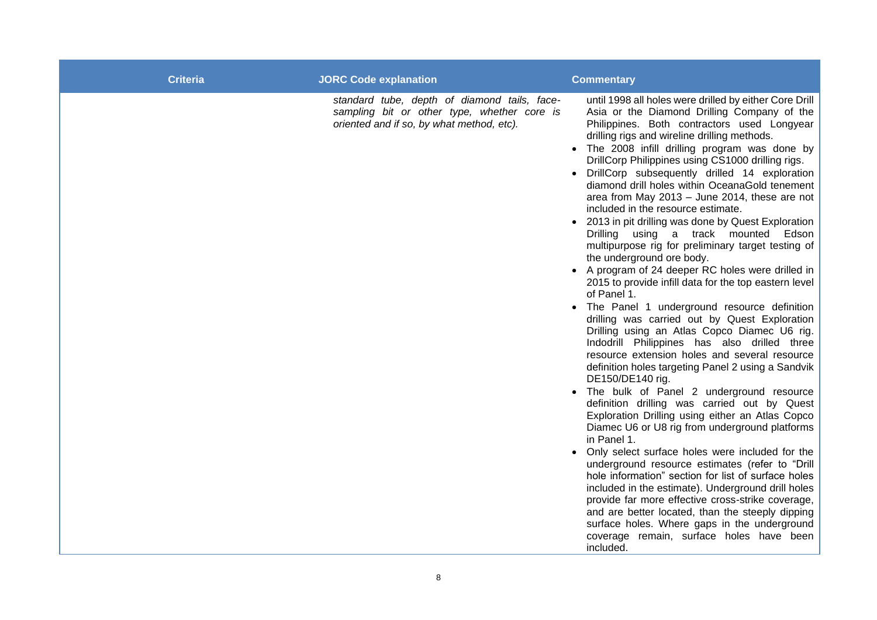| <b>Criteria</b> | <b>JORC Code explanation</b>                                                                                                             | <b>Commentary</b>                                                                                                                                                                                                                                                                                                                                                                                                                                                                                                                                                                                                                                                                                                                                                                                                                                                                                                                                                                                                                                                                                                                                                                                                                                                                                                                                                                                                                                                                                                                                                                                                                                                                                                                                                                                        |
|-----------------|------------------------------------------------------------------------------------------------------------------------------------------|----------------------------------------------------------------------------------------------------------------------------------------------------------------------------------------------------------------------------------------------------------------------------------------------------------------------------------------------------------------------------------------------------------------------------------------------------------------------------------------------------------------------------------------------------------------------------------------------------------------------------------------------------------------------------------------------------------------------------------------------------------------------------------------------------------------------------------------------------------------------------------------------------------------------------------------------------------------------------------------------------------------------------------------------------------------------------------------------------------------------------------------------------------------------------------------------------------------------------------------------------------------------------------------------------------------------------------------------------------------------------------------------------------------------------------------------------------------------------------------------------------------------------------------------------------------------------------------------------------------------------------------------------------------------------------------------------------------------------------------------------------------------------------------------------------|
|                 | standard tube, depth of diamond tails, face-<br>sampling bit or other type, whether core is<br>oriented and if so, by what method, etc). | until 1998 all holes were drilled by either Core Drill<br>Asia or the Diamond Drilling Company of the<br>Philippines. Both contractors used Longyear<br>drilling rigs and wireline drilling methods.<br>• The 2008 infill drilling program was done by<br>DrillCorp Philippines using CS1000 drilling rigs.<br>DrillCorp subsequently drilled 14 exploration<br>diamond drill holes within OceanaGold tenement<br>area from May 2013 - June 2014, these are not<br>included in the resource estimate.<br>• 2013 in pit drilling was done by Quest Exploration<br>Drilling using a track mounted Edson<br>multipurpose rig for preliminary target testing of<br>the underground ore body.<br>• A program of 24 deeper RC holes were drilled in<br>2015 to provide infill data for the top eastern level<br>of Panel 1.<br>• The Panel 1 underground resource definition<br>drilling was carried out by Quest Exploration<br>Drilling using an Atlas Copco Diamec U6 rig.<br>Indodrill Philippines has also drilled three<br>resource extension holes and several resource<br>definition holes targeting Panel 2 using a Sandvik<br>DE150/DE140 rig.<br>The bulk of Panel 2 underground resource<br>definition drilling was carried out by Quest<br>Exploration Drilling using either an Atlas Copco<br>Diamec U6 or U8 rig from underground platforms<br>in Panel 1.<br>Only select surface holes were included for the<br>underground resource estimates (refer to "Drill<br>hole information" section for list of surface holes<br>included in the estimate). Underground drill holes<br>provide far more effective cross-strike coverage,<br>and are better located, than the steeply dipping<br>surface holes. Where gaps in the underground<br>coverage remain, surface holes have been<br>included. |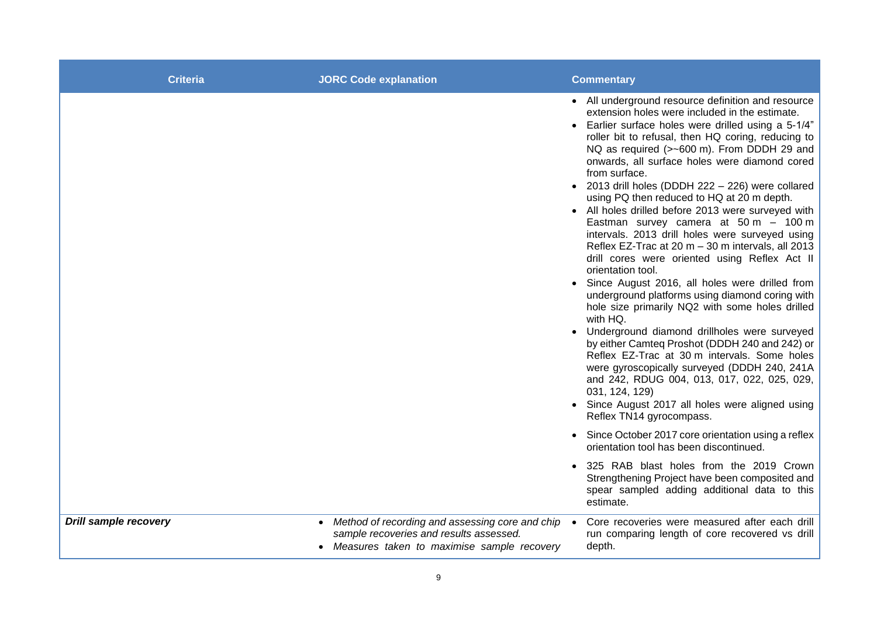| <b>Criteria</b>              | <b>JORC Code explanation</b>                                                                                                                              | <b>Commentary</b>                                                                                                                                                                                                                                                                                                                                                                                                                                                                                                                                                                                                                                                                                                                                                                                                                                                                                                                                                                                                                                                                                                                                                                                                                                         |
|------------------------------|-----------------------------------------------------------------------------------------------------------------------------------------------------------|-----------------------------------------------------------------------------------------------------------------------------------------------------------------------------------------------------------------------------------------------------------------------------------------------------------------------------------------------------------------------------------------------------------------------------------------------------------------------------------------------------------------------------------------------------------------------------------------------------------------------------------------------------------------------------------------------------------------------------------------------------------------------------------------------------------------------------------------------------------------------------------------------------------------------------------------------------------------------------------------------------------------------------------------------------------------------------------------------------------------------------------------------------------------------------------------------------------------------------------------------------------|
|                              |                                                                                                                                                           | • All underground resource definition and resource<br>extension holes were included in the estimate.<br>• Earlier surface holes were drilled using a 5-1/4"<br>roller bit to refusal, then HQ coring, reducing to<br>NQ as required (>~600 m). From DDDH 29 and<br>onwards, all surface holes were diamond cored<br>from surface.<br>• 2013 drill holes (DDDH 222 - 226) were collared<br>using PQ then reduced to HQ at 20 m depth.<br>• All holes drilled before 2013 were surveyed with<br>Eastman survey camera at $50 m - 100 m$<br>intervals. 2013 drill holes were surveyed using<br>Reflex EZ-Trac at 20 m - 30 m intervals, all 2013<br>drill cores were oriented using Reflex Act II<br>orientation tool.<br>Since August 2016, all holes were drilled from<br>$\bullet$<br>underground platforms using diamond coring with<br>hole size primarily NQ2 with some holes drilled<br>with HQ.<br>• Underground diamond drillholes were surveyed<br>by either Camteq Proshot (DDDH 240 and 242) or<br>Reflex EZ-Trac at 30 m intervals. Some holes<br>were gyroscopically surveyed (DDDH 240, 241A<br>and 242, RDUG 004, 013, 017, 022, 025, 029,<br>031, 124, 129)<br>• Since August 2017 all holes were aligned using<br>Reflex TN14 gyrocompass. |
|                              |                                                                                                                                                           | • Since October 2017 core orientation using a reflex<br>orientation tool has been discontinued.                                                                                                                                                                                                                                                                                                                                                                                                                                                                                                                                                                                                                                                                                                                                                                                                                                                                                                                                                                                                                                                                                                                                                           |
|                              |                                                                                                                                                           | 325 RAB blast holes from the 2019 Crown<br>$\bullet$<br>Strengthening Project have been composited and<br>spear sampled adding additional data to this<br>estimate.                                                                                                                                                                                                                                                                                                                                                                                                                                                                                                                                                                                                                                                                                                                                                                                                                                                                                                                                                                                                                                                                                       |
| <b>Drill sample recovery</b> | Method of recording and assessing core and chip •<br>$\bullet$<br>sample recoveries and results assessed.<br>• Measures taken to maximise sample recovery | Core recoveries were measured after each drill<br>run comparing length of core recovered vs drill<br>depth.                                                                                                                                                                                                                                                                                                                                                                                                                                                                                                                                                                                                                                                                                                                                                                                                                                                                                                                                                                                                                                                                                                                                               |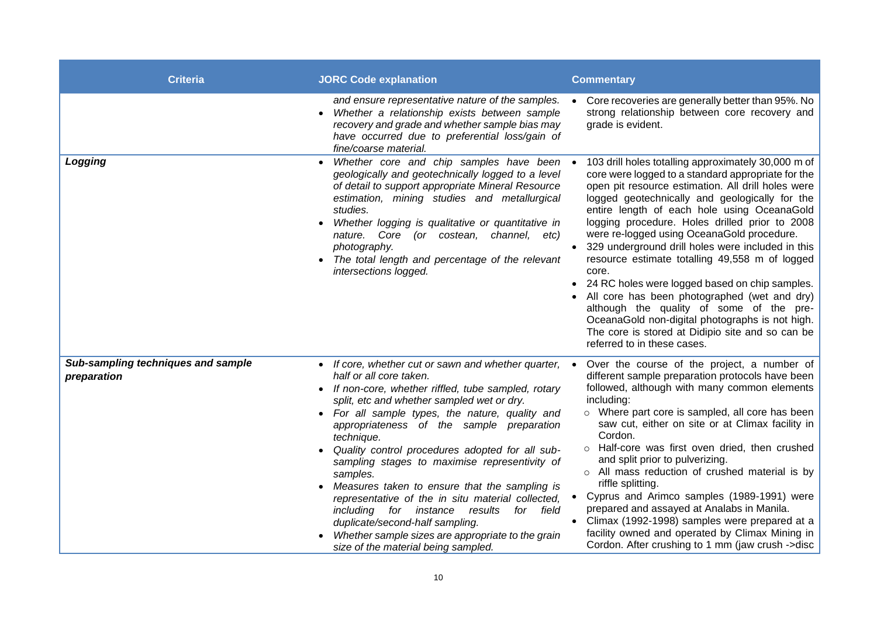| <b>Criteria</b>                                   | <b>JORC Code explanation</b>                                                                                                                                                                                                                                                                                                                                                                                                                                                                                                                                                                                                                                                                             | <b>Commentary</b>                                                                                                                                                                                                                                                                                                                                                                                                                                                                                                                                                                                                                                                                                                                                                    |
|---------------------------------------------------|----------------------------------------------------------------------------------------------------------------------------------------------------------------------------------------------------------------------------------------------------------------------------------------------------------------------------------------------------------------------------------------------------------------------------------------------------------------------------------------------------------------------------------------------------------------------------------------------------------------------------------------------------------------------------------------------------------|----------------------------------------------------------------------------------------------------------------------------------------------------------------------------------------------------------------------------------------------------------------------------------------------------------------------------------------------------------------------------------------------------------------------------------------------------------------------------------------------------------------------------------------------------------------------------------------------------------------------------------------------------------------------------------------------------------------------------------------------------------------------|
|                                                   | and ensure representative nature of the samples.<br>Whether a relationship exists between sample<br>recovery and grade and whether sample bias may<br>have occurred due to preferential loss/gain of<br>fine/coarse material.                                                                                                                                                                                                                                                                                                                                                                                                                                                                            | Core recoveries are generally better than 95%. No<br>strong relationship between core recovery and<br>grade is evident.                                                                                                                                                                                                                                                                                                                                                                                                                                                                                                                                                                                                                                              |
| Logging                                           | Whether core and chip samples have been .<br>geologically and geotechnically logged to a level<br>of detail to support appropriate Mineral Resource<br>estimation, mining studies and metallurgical<br>studies.<br>Whether logging is qualitative or quantitative in<br>nature. Core (or costean,<br>channel, etc)<br>photography.<br>The total length and percentage of the relevant<br>intersections logged.                                                                                                                                                                                                                                                                                           | 103 drill holes totalling approximately 30,000 m of<br>core were logged to a standard appropriate for the<br>open pit resource estimation. All drill holes were<br>logged geotechnically and geologically for the<br>entire length of each hole using OceanaGold<br>logging procedure. Holes drilled prior to 2008<br>were re-logged using OceanaGold procedure.<br>329 underground drill holes were included in this<br>resource estimate totalling 49,558 m of logged<br>core.<br>24 RC holes were logged based on chip samples.<br>All core has been photographed (wet and dry)<br>although the quality of some of the pre-<br>OceanaGold non-digital photographs is not high.<br>The core is stored at Didipio site and so can be<br>referred to in these cases. |
| Sub-sampling techniques and sample<br>preparation | If core, whether cut or sawn and whether quarter, •<br>half or all core taken.<br>If non-core, whether riffled, tube sampled, rotary<br>split, etc and whether sampled wet or dry.<br>For all sample types, the nature, quality and<br>appropriateness of the sample preparation<br>technique.<br>Quality control procedures adopted for all sub-<br>sampling stages to maximise representivity of<br>samples.<br>Measures taken to ensure that the sampling is<br>representative of the in situ material collected,<br>including for instance<br>results<br>for<br>field<br>duplicate/second-half sampling.<br>Whether sample sizes are appropriate to the grain<br>size of the material being sampled. | Over the course of the project, a number of<br>different sample preparation protocols have been<br>followed, although with many common elements<br>including:<br>o Where part core is sampled, all core has been<br>saw cut, either on site or at Climax facility in<br>Cordon.<br>o Half-core was first oven dried, then crushed<br>and split prior to pulverizing.<br>o All mass reduction of crushed material is by<br>riffle splitting.<br>Cyprus and Arimco samples (1989-1991) were<br>prepared and assayed at Analabs in Manila.<br>Climax (1992-1998) samples were prepared at a<br>facility owned and operated by Climax Mining in<br>Cordon. After crushing to 1 mm (jaw crush ->disc                                                                      |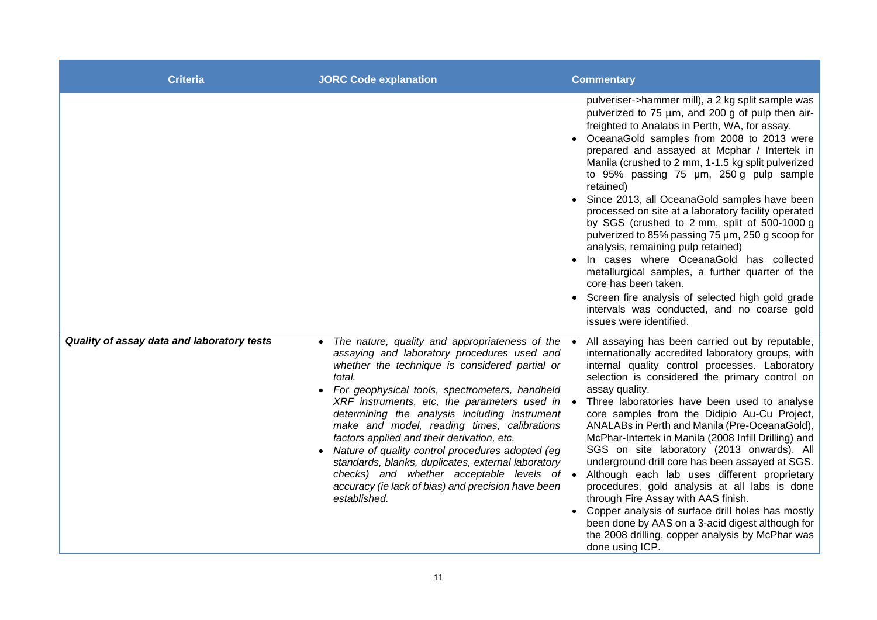| <b>Criteria</b>                            | <b>JORC Code explanation</b>                                                                                                                                                                                                                                                                                                                                                                                                                                                                                                                                                                                                                                  | <b>Commentary</b>                                                                                                                                                                                                                                                                                                                                                                                                                                                                                                                                                                                                                                                                                                                                                                                                                                                      |
|--------------------------------------------|---------------------------------------------------------------------------------------------------------------------------------------------------------------------------------------------------------------------------------------------------------------------------------------------------------------------------------------------------------------------------------------------------------------------------------------------------------------------------------------------------------------------------------------------------------------------------------------------------------------------------------------------------------------|------------------------------------------------------------------------------------------------------------------------------------------------------------------------------------------------------------------------------------------------------------------------------------------------------------------------------------------------------------------------------------------------------------------------------------------------------------------------------------------------------------------------------------------------------------------------------------------------------------------------------------------------------------------------------------------------------------------------------------------------------------------------------------------------------------------------------------------------------------------------|
|                                            |                                                                                                                                                                                                                                                                                                                                                                                                                                                                                                                                                                                                                                                               | pulveriser->hammer mill), a 2 kg split sample was<br>pulverized to 75 µm, and 200 g of pulp then air-<br>freighted to Analabs in Perth, WA, for assay.<br>OceanaGold samples from 2008 to 2013 were<br>prepared and assayed at Mcphar / Intertek in<br>Manila (crushed to 2 mm, 1-1.5 kg split pulverized<br>to 95% passing 75 um, 250 g pulp sample<br>retained)<br>Since 2013, all OceanaGold samples have been<br>processed on site at a laboratory facility operated<br>by SGS (crushed to 2 mm, split of 500-1000 g<br>pulverized to 85% passing 75 um, 250 g scoop for<br>analysis, remaining pulp retained)<br>In cases where OceanaGold has collected<br>metallurgical samples, a further quarter of the<br>core has been taken.<br>Screen fire analysis of selected high gold grade<br>intervals was conducted, and no coarse gold<br>issues were identified. |
| Quality of assay data and laboratory tests | • The nature, quality and appropriateness of the •<br>assaying and laboratory procedures used and<br>whether the technique is considered partial or<br>total.<br>For geophysical tools, spectrometers, handheld<br>XRF instruments, etc, the parameters used in $\bullet$<br>determining the analysis including instrument<br>make and model, reading times, calibrations<br>factors applied and their derivation, etc.<br>Nature of quality control procedures adopted (eg<br>standards, blanks, duplicates, external laboratory<br>checks) and whether acceptable levels of $\bullet$<br>accuracy (ie lack of bias) and precision have been<br>established. | All assaying has been carried out by reputable,<br>internationally accredited laboratory groups, with<br>internal quality control processes. Laboratory<br>selection is considered the primary control on<br>assay quality.<br>Three laboratories have been used to analyse<br>core samples from the Didipio Au-Cu Project,<br>ANALABs in Perth and Manila (Pre-OceanaGold),<br>McPhar-Intertek in Manila (2008 Infill Drilling) and<br>SGS on site laboratory (2013 onwards). All<br>underground drill core has been assayed at SGS.<br>Although each lab uses different proprietary<br>procedures, gold analysis at all labs is done<br>through Fire Assay with AAS finish.<br>Copper analysis of surface drill holes has mostly<br>been done by AAS on a 3-acid digest although for<br>the 2008 drilling, copper analysis by McPhar was<br>done using ICP.          |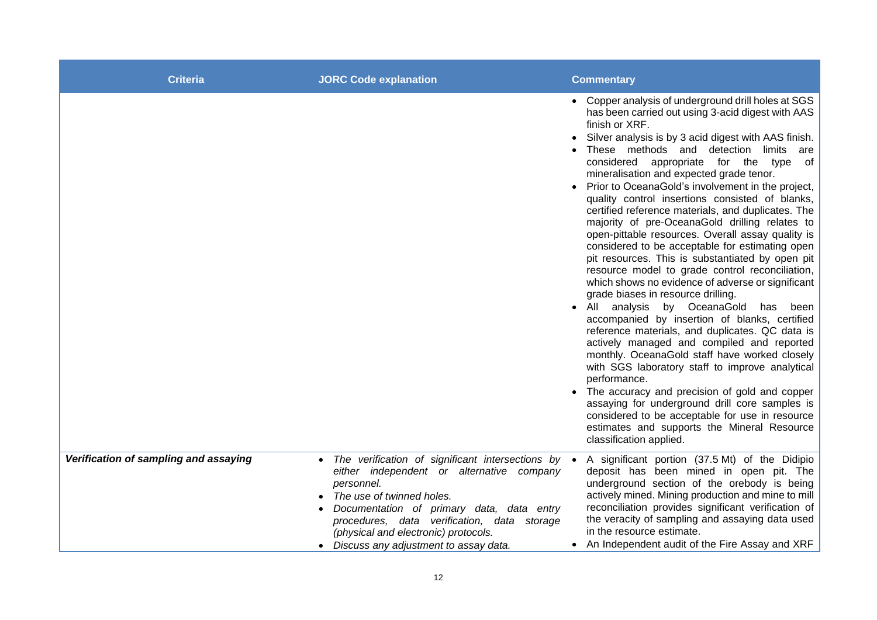| <b>Criteria</b>                       | <b>JORC Code explanation</b>                                                                                                                                                                                                                                                                                            | <b>Commentary</b>                                                                                                                                                                                                                                                                                                                                                                                                                                                                                                                                                                                                                                                                                                                                                                                                                                                                                                                                                                                                                                                                                                                                                                                                                                                                                                                                                                         |
|---------------------------------------|-------------------------------------------------------------------------------------------------------------------------------------------------------------------------------------------------------------------------------------------------------------------------------------------------------------------------|-------------------------------------------------------------------------------------------------------------------------------------------------------------------------------------------------------------------------------------------------------------------------------------------------------------------------------------------------------------------------------------------------------------------------------------------------------------------------------------------------------------------------------------------------------------------------------------------------------------------------------------------------------------------------------------------------------------------------------------------------------------------------------------------------------------------------------------------------------------------------------------------------------------------------------------------------------------------------------------------------------------------------------------------------------------------------------------------------------------------------------------------------------------------------------------------------------------------------------------------------------------------------------------------------------------------------------------------------------------------------------------------|
|                                       |                                                                                                                                                                                                                                                                                                                         | • Copper analysis of underground drill holes at SGS<br>has been carried out using 3-acid digest with AAS<br>finish or XRF.<br>Silver analysis is by 3 acid digest with AAS finish.<br>These methods and detection limits are<br>considered appropriate for the type of<br>mineralisation and expected grade tenor.<br>Prior to OceanaGold's involvement in the project,<br>quality control insertions consisted of blanks,<br>certified reference materials, and duplicates. The<br>majority of pre-OceanaGold drilling relates to<br>open-pittable resources. Overall assay quality is<br>considered to be acceptable for estimating open<br>pit resources. This is substantiated by open pit<br>resource model to grade control reconciliation,<br>which shows no evidence of adverse or significant<br>grade biases in resource drilling.<br>All analysis by OceanaGold has been<br>accompanied by insertion of blanks, certified<br>reference materials, and duplicates. QC data is<br>actively managed and compiled and reported<br>monthly. OceanaGold staff have worked closely<br>with SGS laboratory staff to improve analytical<br>performance.<br>The accuracy and precision of gold and copper<br>assaying for underground drill core samples is<br>considered to be acceptable for use in resource<br>estimates and supports the Mineral Resource<br>classification applied. |
| Verification of sampling and assaying | The verification of significant intersections by •<br>either independent or alternative company<br>personnel.<br>The use of twinned holes.<br>Documentation of primary data, data entry<br>procedures, data verification, data storage<br>(physical and electronic) protocols.<br>Discuss any adjustment to assay data. | A significant portion (37.5 Mt) of the Didipio<br>deposit has been mined in open pit. The<br>underground section of the orebody is being<br>actively mined. Mining production and mine to mill<br>reconciliation provides significant verification of<br>the veracity of sampling and assaying data used<br>in the resource estimate.<br>An Independent audit of the Fire Assay and XRF                                                                                                                                                                                                                                                                                                                                                                                                                                                                                                                                                                                                                                                                                                                                                                                                                                                                                                                                                                                                   |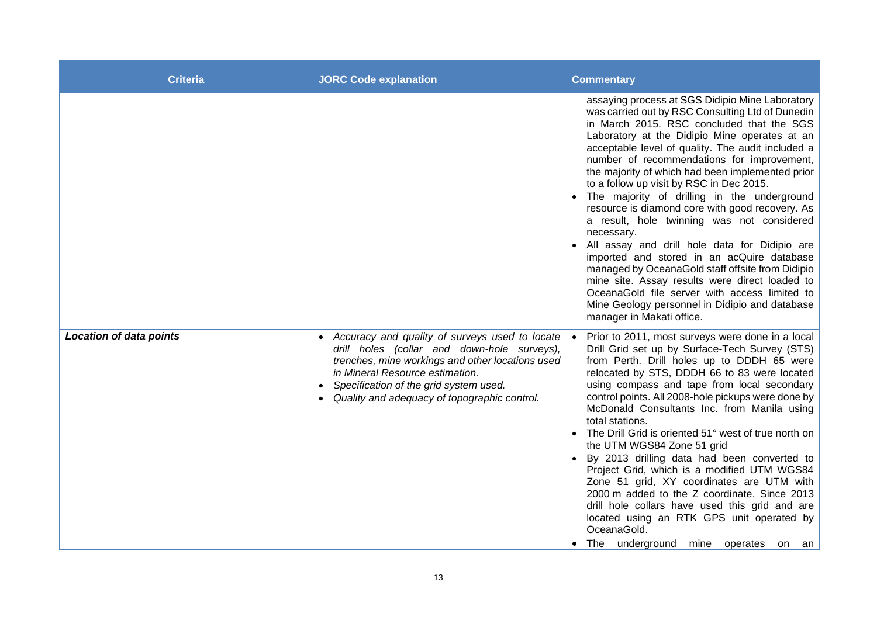| <b>Criteria</b>                | <b>JORC Code explanation</b>                                                                                                                                                                                                                                                     | <b>Commentary</b>                                                                                                                                                                                                                                                                                                                                                                                                                                                                                                                                                                                                                                                                                                                                                                                                                                                                                       |
|--------------------------------|----------------------------------------------------------------------------------------------------------------------------------------------------------------------------------------------------------------------------------------------------------------------------------|---------------------------------------------------------------------------------------------------------------------------------------------------------------------------------------------------------------------------------------------------------------------------------------------------------------------------------------------------------------------------------------------------------------------------------------------------------------------------------------------------------------------------------------------------------------------------------------------------------------------------------------------------------------------------------------------------------------------------------------------------------------------------------------------------------------------------------------------------------------------------------------------------------|
|                                |                                                                                                                                                                                                                                                                                  | assaying process at SGS Didipio Mine Laboratory<br>was carried out by RSC Consulting Ltd of Dunedin<br>in March 2015. RSC concluded that the SGS<br>Laboratory at the Didipio Mine operates at an<br>acceptable level of quality. The audit included a<br>number of recommendations for improvement,<br>the majority of which had been implemented prior<br>to a follow up visit by RSC in Dec 2015.<br>The majority of drilling in the underground<br>resource is diamond core with good recovery. As<br>a result, hole twinning was not considered<br>necessary.<br>All assay and drill hole data for Didipio are<br>imported and stored in an acQuire database<br>managed by OceanaGold staff offsite from Didipio<br>mine site. Assay results were direct loaded to<br>OceanaGold file server with access limited to<br>Mine Geology personnel in Didipio and database<br>manager in Makati office. |
| <b>Location of data points</b> | • Accuracy and quality of surveys used to locate<br>drill holes (collar and down-hole surveys),<br>trenches, mine workings and other locations used<br>in Mineral Resource estimation.<br>Specification of the grid system used.<br>Quality and adequacy of topographic control. | Prior to 2011, most surveys were done in a local<br>Drill Grid set up by Surface-Tech Survey (STS)<br>from Perth. Drill holes up to DDDH 65 were<br>relocated by STS, DDDH 66 to 83 were located<br>using compass and tape from local secondary<br>control points. All 2008-hole pickups were done by<br>McDonald Consultants Inc. from Manila using<br>total stations.<br>The Drill Grid is oriented 51° west of true north on<br>the UTM WGS84 Zone 51 grid<br>• By 2013 drilling data had been converted to<br>Project Grid, which is a modified UTM WGS84<br>Zone 51 grid, XY coordinates are UTM with<br>2000 m added to the Z coordinate. Since 2013<br>drill hole collars have used this grid and are<br>located using an RTK GPS unit operated by<br>OceanaGold.<br>• The underground mine operates on an                                                                                       |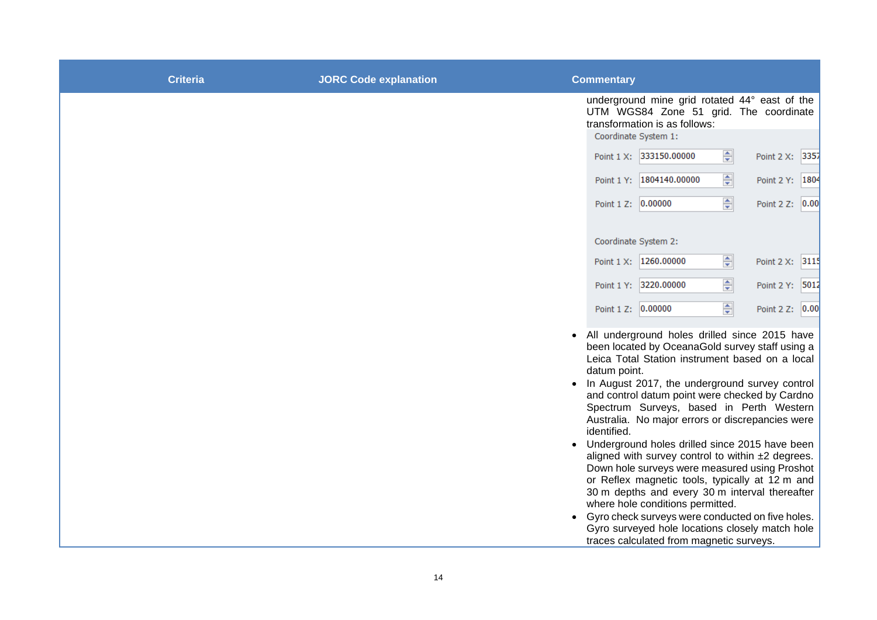| <b>Criteria</b> | <b>JORC Code explanation</b> | <b>Commentary</b>                                                                                                        |
|-----------------|------------------------------|--------------------------------------------------------------------------------------------------------------------------|
|                 |                              | underground mine grid rotated 44° east of the<br>UTM WGS84 Zone 51 grid. The coordinate<br>transformation is as follows: |
|                 |                              | Coordinate System 1:<br>칅<br>Point 1 X: 333150.00000<br>Point 2 X: 3357                                                  |
|                 |                              | ÷<br>Point 1 Y: 1804140.00000<br>Point 2 Y: 1804                                                                         |
|                 |                              | ÷<br>Point 1 Z: 0.00000<br>Point 2 Z: 0.00                                                                               |
|                 |                              |                                                                                                                          |
|                 |                              | Coordinate System 2:                                                                                                     |
|                 |                              | $\Rightarrow$<br>Point 1 X: 1260.00000<br>Point 2 X: 3115                                                                |
|                 |                              | 츾<br>Point 1 Y: 3220.00000<br>Point 2 Y: 5012                                                                            |
|                 |                              | 즉<br>Point 1 Z: 0.00000<br>Point 2 Z: 0.00                                                                               |
|                 |                              | • All underground holes drilled since 2015 have<br>been located by OceanaGold survey staff using a                       |
|                 |                              | Leica Total Station instrument based on a local<br>datum point.                                                          |
|                 |                              | In August 2017, the underground survey control<br>and control datum point were checked by Cardno                         |
|                 |                              | Spectrum Surveys, based in Perth Western<br>Australia. No major errors or discrepancies were                             |
|                 |                              | identified.<br>• Underground holes drilled since 2015 have been                                                          |
|                 |                              | aligned with survey control to within ±2 degrees.<br>Down hole surveys were measured using Proshot                       |
|                 |                              | or Reflex magnetic tools, typically at 12 m and<br>30 m depths and every 30 m interval thereafter                        |
|                 |                              | where hole conditions permitted.<br>• Gyro check surveys were conducted on five holes.                                   |
|                 |                              | Gyro surveyed hole locations closely match hole<br>traces calculated from magnetic surveys.                              |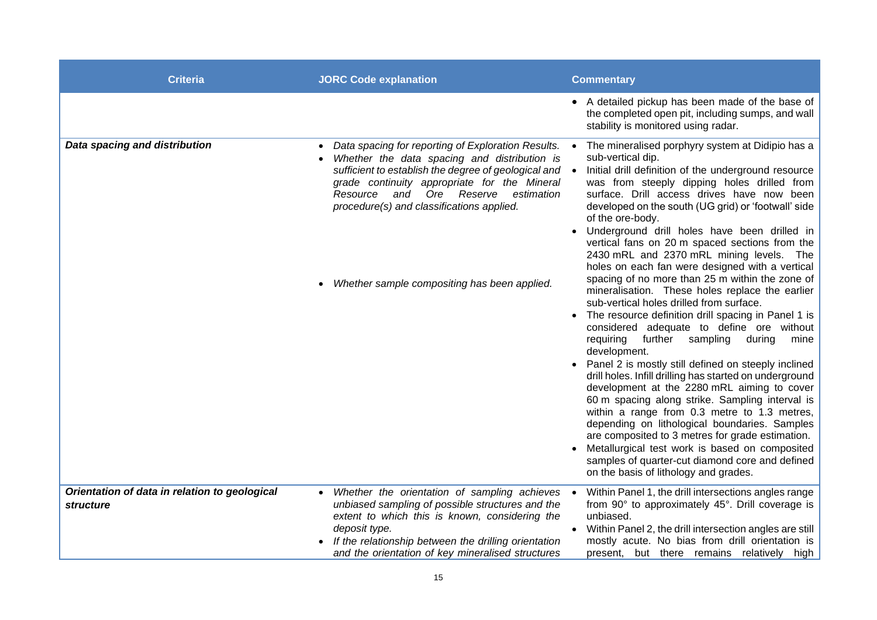| <b>Criteria</b>                                                   | <b>JORC Code explanation</b>                                                                                                                                                                                                                                                                                                                                                     | <b>Commentary</b>                                                                                                                                                                                                                                                                                                                                                                                                                                                                                                                                                                                                                                                                                                                                                                                                                                                                                                                                                                                                                                                                                                                                                                                                                                                                                                                                                   |
|-------------------------------------------------------------------|----------------------------------------------------------------------------------------------------------------------------------------------------------------------------------------------------------------------------------------------------------------------------------------------------------------------------------------------------------------------------------|---------------------------------------------------------------------------------------------------------------------------------------------------------------------------------------------------------------------------------------------------------------------------------------------------------------------------------------------------------------------------------------------------------------------------------------------------------------------------------------------------------------------------------------------------------------------------------------------------------------------------------------------------------------------------------------------------------------------------------------------------------------------------------------------------------------------------------------------------------------------------------------------------------------------------------------------------------------------------------------------------------------------------------------------------------------------------------------------------------------------------------------------------------------------------------------------------------------------------------------------------------------------------------------------------------------------------------------------------------------------|
|                                                                   |                                                                                                                                                                                                                                                                                                                                                                                  | • A detailed pickup has been made of the base of<br>the completed open pit, including sumps, and wall<br>stability is monitored using radar.                                                                                                                                                                                                                                                                                                                                                                                                                                                                                                                                                                                                                                                                                                                                                                                                                                                                                                                                                                                                                                                                                                                                                                                                                        |
| Data spacing and distribution                                     | Data spacing for reporting of Exploration Results. •<br>$\bullet$<br>Whether the data spacing and distribution is<br>sufficient to establish the degree of geological and $\bullet$<br>grade continuity appropriate for the Mineral<br>Ore Reserve<br>and<br>estimation<br>Resource<br>procedure(s) and classifications applied.<br>Whether sample compositing has been applied. | The mineralised porphyry system at Didipio has a<br>sub-vertical dip.<br>Initial drill definition of the underground resource<br>was from steeply dipping holes drilled from<br>surface. Drill access drives have now been<br>developed on the south (UG grid) or 'footwall' side<br>of the ore-body.<br>Underground drill holes have been drilled in<br>vertical fans on 20 m spaced sections from the<br>2430 mRL and 2370 mRL mining levels. The<br>holes on each fan were designed with a vertical<br>spacing of no more than 25 m within the zone of<br>mineralisation. These holes replace the earlier<br>sub-vertical holes drilled from surface.<br>The resource definition drill spacing in Panel 1 is<br>$\bullet$<br>considered adequate to define ore without<br>requiring<br>further sampling<br>during<br>mine<br>development.<br>Panel 2 is mostly still defined on steeply inclined<br>drill holes. Infill drilling has started on underground<br>development at the 2280 mRL aiming to cover<br>60 m spacing along strike. Sampling interval is<br>within a range from 0.3 metre to 1.3 metres,<br>depending on lithological boundaries. Samples<br>are composited to 3 metres for grade estimation.<br>Metallurgical test work is based on composited<br>samples of quarter-cut diamond core and defined<br>on the basis of lithology and grades. |
| Orientation of data in relation to geological<br><i>structure</i> | Whether the orientation of sampling achieves •<br>unbiased sampling of possible structures and the<br>extent to which this is known, considering the<br>deposit type.<br>If the relationship between the drilling orientation<br>and the orientation of key mineralised structures                                                                                               | Within Panel 1, the drill intersections angles range<br>from 90° to approximately 45°. Drill coverage is<br>unbiased.<br>Within Panel 2, the drill intersection angles are still<br>mostly acute. No bias from drill orientation is<br>present, but there remains relatively high                                                                                                                                                                                                                                                                                                                                                                                                                                                                                                                                                                                                                                                                                                                                                                                                                                                                                                                                                                                                                                                                                   |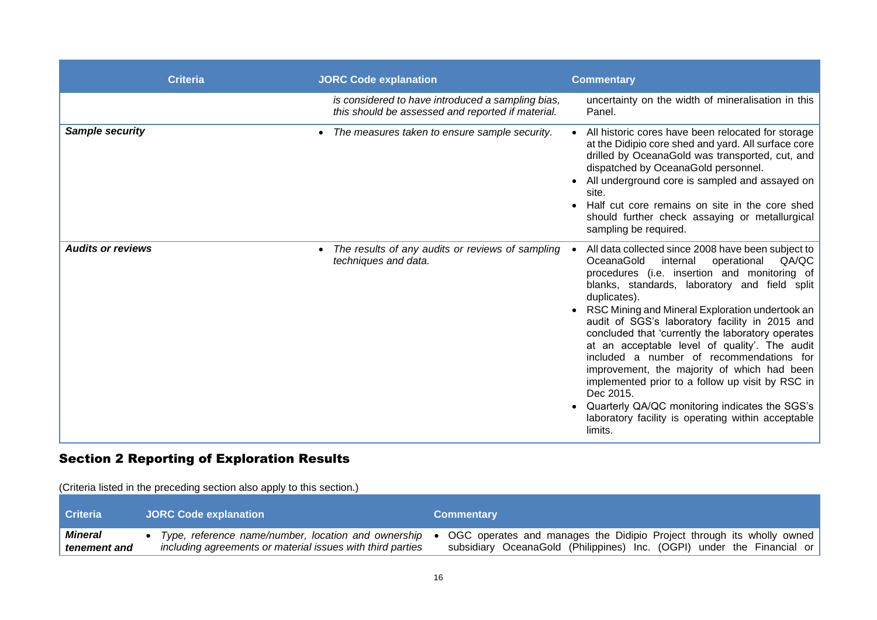| <b>Criteria</b>          | <b>JORC Code explanation</b>                                                                           | <b>Commentary</b>                                                                                                                                                                                                                                                                                                                                                                                                                                                                                                                                                                                                                                                                                               |
|--------------------------|--------------------------------------------------------------------------------------------------------|-----------------------------------------------------------------------------------------------------------------------------------------------------------------------------------------------------------------------------------------------------------------------------------------------------------------------------------------------------------------------------------------------------------------------------------------------------------------------------------------------------------------------------------------------------------------------------------------------------------------------------------------------------------------------------------------------------------------|
|                          | is considered to have introduced a sampling bias,<br>this should be assessed and reported if material. | uncertainty on the width of mineralisation in this<br>Panel.                                                                                                                                                                                                                                                                                                                                                                                                                                                                                                                                                                                                                                                    |
| Sample security          | The measures taken to ensure sample security.                                                          | All historic cores have been relocated for storage<br>at the Didipio core shed and yard. All surface core<br>drilled by OceanaGold was transported, cut, and<br>dispatched by OceanaGold personnel.<br>All underground core is sampled and assayed on<br>site.<br>Half cut core remains on site in the core shed<br>should further check assaying or metallurgical<br>sampling be required.                                                                                                                                                                                                                                                                                                                     |
| <b>Audits or reviews</b> | The results of any audits or reviews of sampling •<br>techniques and data.                             | All data collected since 2008 have been subject to<br>OceanaGold<br>operational<br>internal<br>QA/QC<br>procedures (i.e. insertion and monitoring of<br>blanks, standards, laboratory and field split<br>duplicates).<br>RSC Mining and Mineral Exploration undertook an<br>audit of SGS's laboratory facility in 2015 and<br>concluded that 'currently the laboratory operates<br>at an acceptable level of quality'. The audit<br>included a number of recommendations for<br>improvement, the majority of which had been<br>implemented prior to a follow up visit by RSC in<br>Dec 2015.<br>Quarterly QA/QC monitoring indicates the SGS's<br>laboratory facility is operating within acceptable<br>limits. |

# Section 2 Reporting of Exploration Results

(Criteria listed in the preceding section also apply to this section.)

| <b>Criteria</b> | <b>JORC Code explanation</b>                               | <b>Commentary</b>                                                      |
|-----------------|------------------------------------------------------------|------------------------------------------------------------------------|
| <b>Mineral</b>  | Type, reference name/number, location and ownership        | OGC operates and manages the Didipio Project through its wholly owned  |
| tenement and    | including agreements or material issues with third parties | subsidiary OceanaGold (Philippines) Inc. (OGPI) under the Financial or |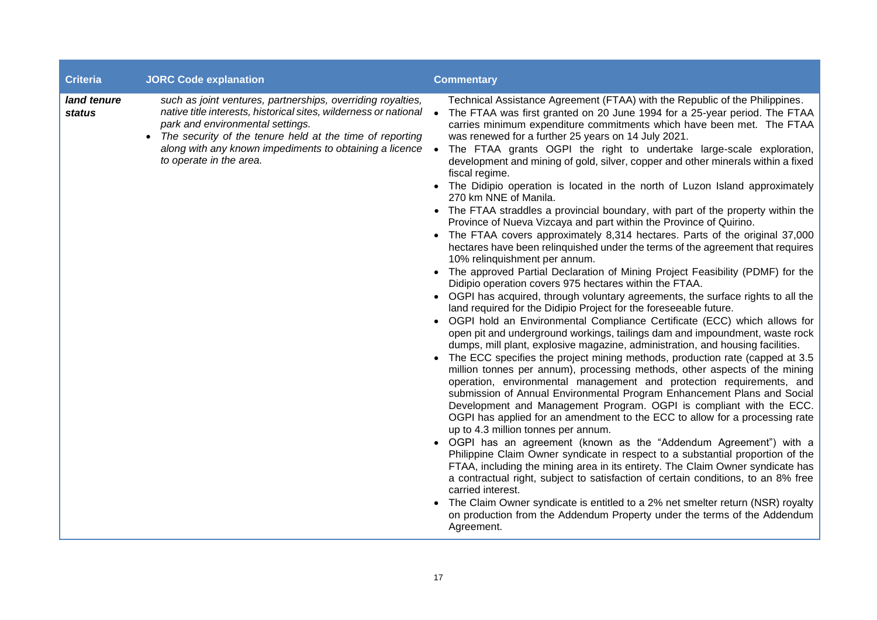| <b>Criteria</b>              | <b>JORC Code explanation</b>                                                                                                                                                                                                                                                                                                         | <b>Commentary</b>                                                                                                                                                                                                                                                                                                                                                                                                                                                                                                                                                                                                                                                                                                                                                                                                                                                                                                                                                                                                                                                                                                                                                                                                                                                                                                                                                                                                                                                                                                                                                                                                                                                                                                                                                                                                                                                                                                                                                                                                                                                                                                                                                                                                                                                                                                                                                                                                                                                                                                                                   |
|------------------------------|--------------------------------------------------------------------------------------------------------------------------------------------------------------------------------------------------------------------------------------------------------------------------------------------------------------------------------------|-----------------------------------------------------------------------------------------------------------------------------------------------------------------------------------------------------------------------------------------------------------------------------------------------------------------------------------------------------------------------------------------------------------------------------------------------------------------------------------------------------------------------------------------------------------------------------------------------------------------------------------------------------------------------------------------------------------------------------------------------------------------------------------------------------------------------------------------------------------------------------------------------------------------------------------------------------------------------------------------------------------------------------------------------------------------------------------------------------------------------------------------------------------------------------------------------------------------------------------------------------------------------------------------------------------------------------------------------------------------------------------------------------------------------------------------------------------------------------------------------------------------------------------------------------------------------------------------------------------------------------------------------------------------------------------------------------------------------------------------------------------------------------------------------------------------------------------------------------------------------------------------------------------------------------------------------------------------------------------------------------------------------------------------------------------------------------------------------------------------------------------------------------------------------------------------------------------------------------------------------------------------------------------------------------------------------------------------------------------------------------------------------------------------------------------------------------------------------------------------------------------------------------------------------------|
| land tenure<br><b>status</b> | such as joint ventures, partnerships, overriding royalties,<br>native title interests, historical sites, wilderness or national<br>park and environmental settings.<br>The security of the tenure held at the time of reporting<br>$\bullet$<br>along with any known impediments to obtaining a licence •<br>to operate in the area. | Technical Assistance Agreement (FTAA) with the Republic of the Philippines.<br>The FTAA was first granted on 20 June 1994 for a 25-year period. The FTAA<br>carries minimum expenditure commitments which have been met. The FTAA<br>was renewed for a further 25 years on 14 July 2021.<br>The FTAA grants OGPI the right to undertake large-scale exploration,<br>development and mining of gold, silver, copper and other minerals within a fixed<br>fiscal regime.<br>• The Didipio operation is located in the north of Luzon Island approximately<br>270 km NNE of Manila.<br>• The FTAA straddles a provincial boundary, with part of the property within the<br>Province of Nueva Vizcaya and part within the Province of Quirino.<br>• The FTAA covers approximately 8,314 hectares. Parts of the original 37,000<br>hectares have been relinquished under the terms of the agreement that requires<br>10% relinquishment per annum.<br>• The approved Partial Declaration of Mining Project Feasibility (PDMF) for the<br>Didipio operation covers 975 hectares within the FTAA.<br>• OGPI has acquired, through voluntary agreements, the surface rights to all the<br>land required for the Didipio Project for the foreseeable future.<br>• OGPI hold an Environmental Compliance Certificate (ECC) which allows for<br>open pit and underground workings, tailings dam and impoundment, waste rock<br>dumps, mill plant, explosive magazine, administration, and housing facilities.<br>• The ECC specifies the project mining methods, production rate (capped at 3.5)<br>million tonnes per annum), processing methods, other aspects of the mining<br>operation, environmental management and protection requirements, and<br>submission of Annual Environmental Program Enhancement Plans and Social<br>Development and Management Program. OGPI is compliant with the ECC.<br>OGPI has applied for an amendment to the ECC to allow for a processing rate<br>up to 4.3 million tonnes per annum.<br>• OGPI has an agreement (known as the "Addendum Agreement") with a<br>Philippine Claim Owner syndicate in respect to a substantial proportion of the<br>FTAA, including the mining area in its entirety. The Claim Owner syndicate has<br>a contractual right, subject to satisfaction of certain conditions, to an 8% free<br>carried interest.<br>The Claim Owner syndicate is entitled to a 2% net smelter return (NSR) royalty<br>on production from the Addendum Property under the terms of the Addendum<br>Agreement. |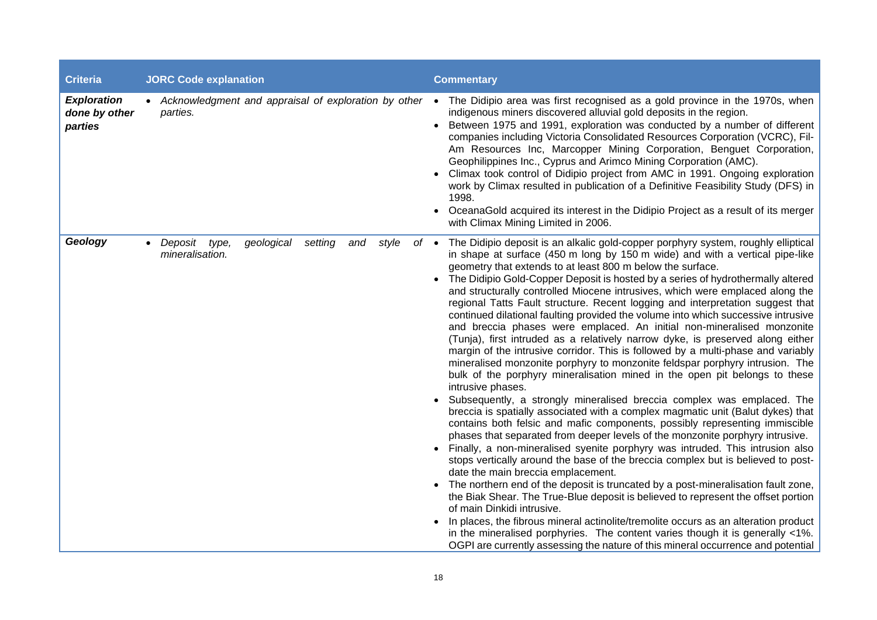| <b>Criteria</b>                                | <b>JORC Code explanation</b>                                                 | <b>Commentary</b>                                                                                                                                                                                                                                                                                                                                                                                                                                                                                                                                                                                                                                                                                                                                                                                                                                                                                                                                                                                                                                                                                                                                                                                                                                                                                                                                                                                                                                                                                                                                                                                                                                                                                                                                                                                                                                                                                                                                                                                                                         |
|------------------------------------------------|------------------------------------------------------------------------------|-------------------------------------------------------------------------------------------------------------------------------------------------------------------------------------------------------------------------------------------------------------------------------------------------------------------------------------------------------------------------------------------------------------------------------------------------------------------------------------------------------------------------------------------------------------------------------------------------------------------------------------------------------------------------------------------------------------------------------------------------------------------------------------------------------------------------------------------------------------------------------------------------------------------------------------------------------------------------------------------------------------------------------------------------------------------------------------------------------------------------------------------------------------------------------------------------------------------------------------------------------------------------------------------------------------------------------------------------------------------------------------------------------------------------------------------------------------------------------------------------------------------------------------------------------------------------------------------------------------------------------------------------------------------------------------------------------------------------------------------------------------------------------------------------------------------------------------------------------------------------------------------------------------------------------------------------------------------------------------------------------------------------------------------|
| <b>Exploration</b><br>done by other<br>parties | • Acknowledgment and appraisal of exploration by other<br>parties.           | The Didipio area was first recognised as a gold province in the 1970s, when<br>$\bullet$<br>indigenous miners discovered alluvial gold deposits in the region.<br>Between 1975 and 1991, exploration was conducted by a number of different<br>companies including Victoria Consolidated Resources Corporation (VCRC), Fil-<br>Am Resources Inc, Marcopper Mining Corporation, Benguet Corporation,<br>Geophilippines Inc., Cyprus and Arimco Mining Corporation (AMC).<br>Climax took control of Didipio project from AMC in 1991. Ongoing exploration<br>work by Climax resulted in publication of a Definitive Feasibility Study (DFS) in<br>1998.<br>OceanaGold acquired its interest in the Didipio Project as a result of its merger<br>with Climax Mining Limited in 2006.                                                                                                                                                                                                                                                                                                                                                                                                                                                                                                                                                                                                                                                                                                                                                                                                                                                                                                                                                                                                                                                                                                                                                                                                                                                         |
| Geology                                        | geological<br>setting<br>style<br>Deposit<br>type,<br>and<br>mineralisation. | The Didipio deposit is an alkalic gold-copper porphyry system, roughly elliptical<br>$of \bullet$<br>in shape at surface (450 m long by 150 m wide) and with a vertical pipe-like<br>geometry that extends to at least 800 m below the surface.<br>The Didipio Gold-Copper Deposit is hosted by a series of hydrothermally altered<br>and structurally controlled Miocene intrusives, which were emplaced along the<br>regional Tatts Fault structure. Recent logging and interpretation suggest that<br>continued dilational faulting provided the volume into which successive intrusive<br>and breccia phases were emplaced. An initial non-mineralised monzonite<br>(Tunja), first intruded as a relatively narrow dyke, is preserved along either<br>margin of the intrusive corridor. This is followed by a multi-phase and variably<br>mineralised monzonite porphyry to monzonite feldspar porphyry intrusion. The<br>bulk of the porphyry mineralisation mined in the open pit belongs to these<br>intrusive phases.<br>Subsequently, a strongly mineralised breccia complex was emplaced. The<br>breccia is spatially associated with a complex magmatic unit (Balut dykes) that<br>contains both felsic and mafic components, possibly representing immiscible<br>phases that separated from deeper levels of the monzonite porphyry intrusive.<br>Finally, a non-mineralised syenite porphyry was intruded. This intrusion also<br>stops vertically around the base of the breccia complex but is believed to post-<br>date the main breccia emplacement.<br>The northern end of the deposit is truncated by a post-mineralisation fault zone,<br>the Biak Shear. The True-Blue deposit is believed to represent the offset portion<br>of main Dinkidi intrusive.<br>In places, the fibrous mineral actinolite/tremolite occurs as an alteration product<br>in the mineralised porphyries. The content varies though it is generally <1%.<br>OGPI are currently assessing the nature of this mineral occurrence and potential |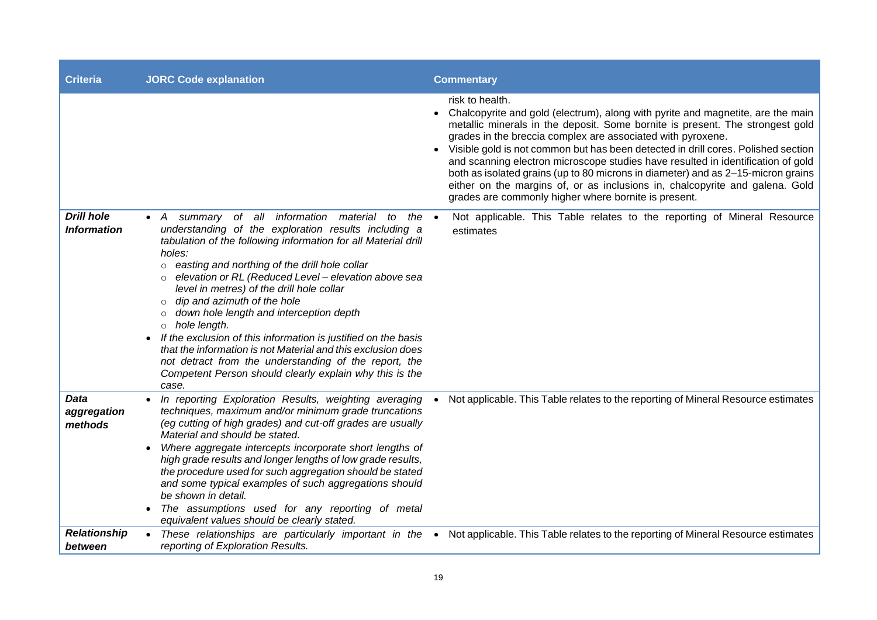| <b>Criteria</b>                         | <b>JORC Code explanation</b>                                                                                                                                                                                                                                                                                                                                                                                                                                                                                                                                                                                                                                                                                                                    | <b>Commentary</b>                                                                                                                                                                                                                                                                                                                                                                                                                                                                                                                                                                                                                                       |
|-----------------------------------------|-------------------------------------------------------------------------------------------------------------------------------------------------------------------------------------------------------------------------------------------------------------------------------------------------------------------------------------------------------------------------------------------------------------------------------------------------------------------------------------------------------------------------------------------------------------------------------------------------------------------------------------------------------------------------------------------------------------------------------------------------|---------------------------------------------------------------------------------------------------------------------------------------------------------------------------------------------------------------------------------------------------------------------------------------------------------------------------------------------------------------------------------------------------------------------------------------------------------------------------------------------------------------------------------------------------------------------------------------------------------------------------------------------------------|
|                                         |                                                                                                                                                                                                                                                                                                                                                                                                                                                                                                                                                                                                                                                                                                                                                 | risk to health.<br>Chalcopyrite and gold (electrum), along with pyrite and magnetite, are the main<br>metallic minerals in the deposit. Some bornite is present. The strongest gold<br>grades in the breccia complex are associated with pyroxene.<br>Visible gold is not common but has been detected in drill cores. Polished section<br>and scanning electron microscope studies have resulted in identification of gold<br>both as isolated grains (up to 80 microns in diameter) and as 2–15-micron grains<br>either on the margins of, or as inclusions in, chalcopyrite and galena. Gold<br>grades are commonly higher where bornite is present. |
| <b>Drill hole</b><br><b>Information</b> | summary of all information material to the<br>$\bullet$ $A$<br>understanding of the exploration results including a<br>tabulation of the following information for all Material drill<br>holes:<br>easting and northing of the drill hole collar<br>$\circ$<br>elevation or RL (Reduced Level - elevation above sea<br>level in metres) of the drill hole collar<br>dip and azimuth of the hole<br>down hole length and interception depth<br>$\circ$<br>hole length.<br>$\circ$<br>If the exclusion of this information is justified on the basis<br>that the information is not Material and this exclusion does<br>not detract from the understanding of the report, the<br>Competent Person should clearly explain why this is the<br>case. | Not applicable. This Table relates to the reporting of Mineral Resource<br>$\bullet$<br>estimates                                                                                                                                                                                                                                                                                                                                                                                                                                                                                                                                                       |
| <b>Data</b><br>aggregation<br>methods   | In reporting Exploration Results, weighting averaging<br>techniques, maximum and/or minimum grade truncations<br>(eg cutting of high grades) and cut-off grades are usually<br>Material and should be stated.<br>Where aggregate intercepts incorporate short lengths of<br>high grade results and longer lengths of low grade results,<br>the procedure used for such aggregation should be stated<br>and some typical examples of such aggregations should<br>be shown in detail.<br>The assumptions used for any reporting of metal<br>$\bullet$<br>equivalent values should be clearly stated.                                                                                                                                              | Not applicable. This Table relates to the reporting of Mineral Resource estimates                                                                                                                                                                                                                                                                                                                                                                                                                                                                                                                                                                       |
| <b>Relationship</b><br>between          | reporting of Exploration Results.                                                                                                                                                                                                                                                                                                                                                                                                                                                                                                                                                                                                                                                                                                               | • These relationships are particularly important in the • Not applicable. This Table relates to the reporting of Mineral Resource estimates                                                                                                                                                                                                                                                                                                                                                                                                                                                                                                             |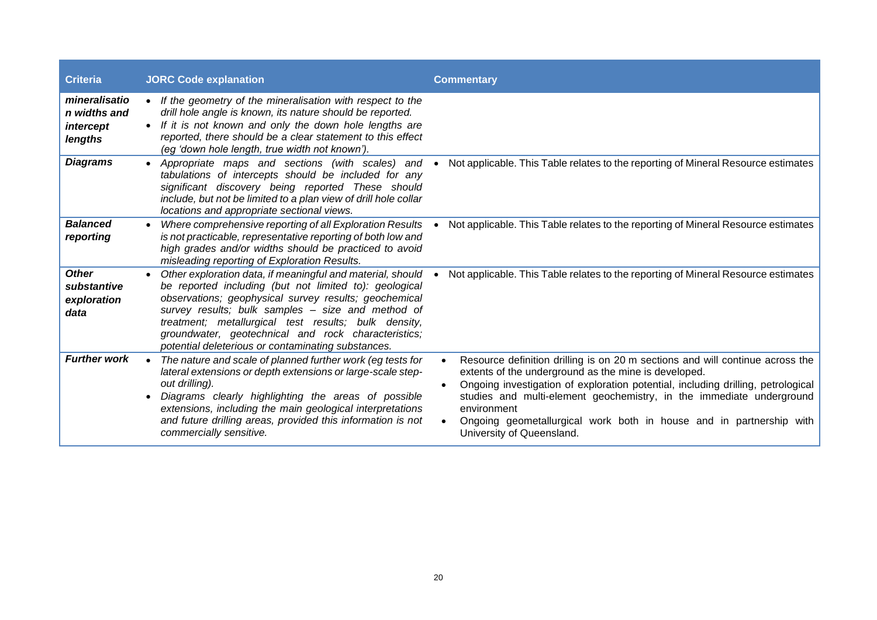| <b>Criteria</b>                                       | <b>JORC Code explanation</b>                                                                                                                                                                                                                                                                                                                                                                            | <b>Commentary</b>                                                                                                                                                                                                                                                                                                                                                                                                    |
|-------------------------------------------------------|---------------------------------------------------------------------------------------------------------------------------------------------------------------------------------------------------------------------------------------------------------------------------------------------------------------------------------------------------------------------------------------------------------|----------------------------------------------------------------------------------------------------------------------------------------------------------------------------------------------------------------------------------------------------------------------------------------------------------------------------------------------------------------------------------------------------------------------|
| mineralisatio<br>n widths and<br>intercept<br>lengths | • If the geometry of the mineralisation with respect to the<br>drill hole angle is known, its nature should be reported.<br>• If it is not known and only the down hole lengths are<br>reported, there should be a clear statement to this effect<br>(eg 'down hole length, true width not known').                                                                                                     |                                                                                                                                                                                                                                                                                                                                                                                                                      |
| <b>Diagrams</b>                                       | • Appropriate maps and sections (with scales) and<br>tabulations of intercepts should be included for any<br>significant discovery being reported These should<br>include, but not be limited to a plan view of drill hole collar<br>locations and appropriate sectional views.                                                                                                                         | Not applicable. This Table relates to the reporting of Mineral Resource estimates<br>$\bullet$                                                                                                                                                                                                                                                                                                                       |
| <b>Balanced</b><br>reporting                          | Where comprehensive reporting of all Exploration Results<br>is not practicable, representative reporting of both low and<br>high grades and/or widths should be practiced to avoid<br>misleading reporting of Exploration Results.                                                                                                                                                                      | Not applicable. This Table relates to the reporting of Mineral Resource estimates                                                                                                                                                                                                                                                                                                                                    |
| <b>Other</b><br>substantive<br>exploration<br>data    | Other exploration data, if meaningful and material, should<br>be reported including (but not limited to): geological<br>observations; geophysical survey results; geochemical<br>survey results; bulk samples - size and method of<br>treatment; metallurgical test results; bulk density,<br>groundwater, geotechnical and rock characteristics;<br>potential deleterious or contaminating substances. | Not applicable. This Table relates to the reporting of Mineral Resource estimates                                                                                                                                                                                                                                                                                                                                    |
| <b>Further work</b>                                   | The nature and scale of planned further work (eg tests for<br>lateral extensions or depth extensions or large-scale step-<br>out drilling).<br>Diagrams clearly highlighting the areas of possible<br>extensions, including the main geological interpretations<br>and future drilling areas, provided this information is not<br>commercially sensitive.                                               | Resource definition drilling is on 20 m sections and will continue across the<br>extents of the underground as the mine is developed.<br>Ongoing investigation of exploration potential, including drilling, petrological<br>studies and multi-element geochemistry, in the immediate underground<br>environment<br>Ongoing geometallurgical work both in house and in partnership with<br>University of Queensland. |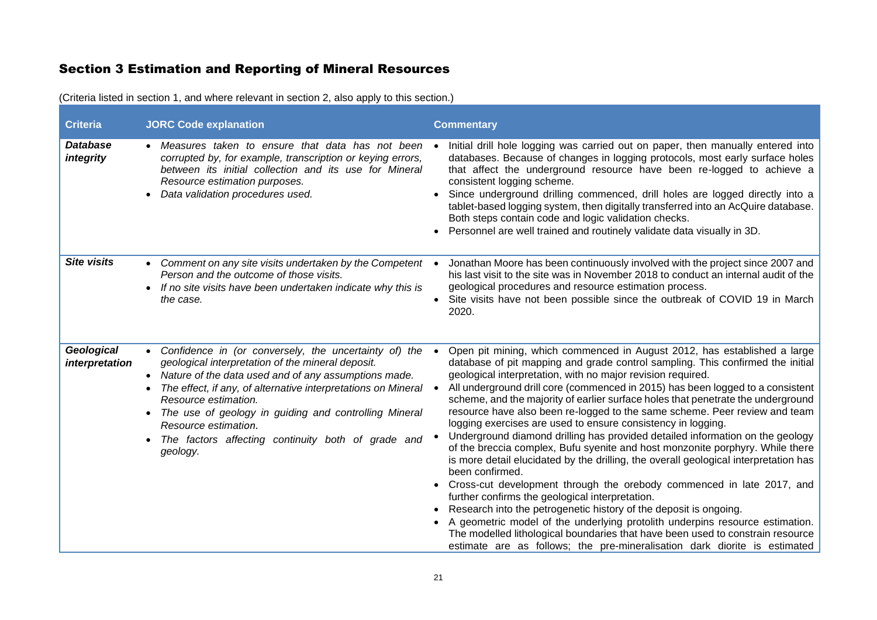# Section 3 Estimation and Reporting of Mineral Resources

| <b>Criteria</b>              | <b>JORC Code explanation</b>                                                                                                                                                                                                                                                                                                                                                                                                  | <b>Commentary</b>                                                                                                                                                                                                                                                                                                                                                                                                                                                                                                                                                                                                                                                                                                                                                                                                                                                                                                                                                                                                                                                                                                                                                                                                                                                          |
|------------------------------|-------------------------------------------------------------------------------------------------------------------------------------------------------------------------------------------------------------------------------------------------------------------------------------------------------------------------------------------------------------------------------------------------------------------------------|----------------------------------------------------------------------------------------------------------------------------------------------------------------------------------------------------------------------------------------------------------------------------------------------------------------------------------------------------------------------------------------------------------------------------------------------------------------------------------------------------------------------------------------------------------------------------------------------------------------------------------------------------------------------------------------------------------------------------------------------------------------------------------------------------------------------------------------------------------------------------------------------------------------------------------------------------------------------------------------------------------------------------------------------------------------------------------------------------------------------------------------------------------------------------------------------------------------------------------------------------------------------------|
| <b>Database</b><br>integrity | • Measures taken to ensure that data has not been<br>corrupted by, for example, transcription or keying errors,<br>between its initial collection and its use for Mineral<br>Resource estimation purposes.<br>Data validation procedures used.                                                                                                                                                                                | Initial drill hole logging was carried out on paper, then manually entered into<br>databases. Because of changes in logging protocols, most early surface holes<br>that affect the underground resource have been re-logged to achieve a<br>consistent logging scheme.<br>Since underground drilling commenced, drill holes are logged directly into a<br>tablet-based logging system, then digitally transferred into an AcQuire database.<br>Both steps contain code and logic validation checks.<br>Personnel are well trained and routinely validate data visually in 3D.                                                                                                                                                                                                                                                                                                                                                                                                                                                                                                                                                                                                                                                                                              |
| <b>Site visits</b>           | • Comment on any site visits undertaken by the Competent<br>Person and the outcome of those visits.<br>If no site visits have been undertaken indicate why this is<br>the case.                                                                                                                                                                                                                                               | Jonathan Moore has been continuously involved with the project since 2007 and<br>his last visit to the site was in November 2018 to conduct an internal audit of the<br>geological procedures and resource estimation process.<br>Site visits have not been possible since the outbreak of COVID 19 in March<br>2020.                                                                                                                                                                                                                                                                                                                                                                                                                                                                                                                                                                                                                                                                                                                                                                                                                                                                                                                                                      |
| Geological<br>interpretation | • Confidence in (or conversely, the uncertainty of) the<br>geological interpretation of the mineral deposit.<br>Nature of the data used and of any assumptions made.<br>The effect, if any, of alternative interpretations on Mineral<br>Resource estimation.<br>The use of geology in guiding and controlling Mineral<br>$\bullet$<br>Resource estimation.<br>The factors affecting continuity both of grade and<br>geology. | Open pit mining, which commenced in August 2012, has established a large<br>database of pit mapping and grade control sampling. This confirmed the initial<br>geological interpretation, with no major revision required.<br>All underground drill core (commenced in 2015) has been logged to a consistent<br>scheme, and the majority of earlier surface holes that penetrate the underground<br>resource have also been re-logged to the same scheme. Peer review and team<br>logging exercises are used to ensure consistency in logging.<br>Underground diamond drilling has provided detailed information on the geology<br>of the breccia complex, Bufu syenite and host monzonite porphyry. While there<br>is more detail elucidated by the drilling, the overall geological interpretation has<br>been confirmed.<br>Cross-cut development through the orebody commenced in late 2017, and<br>further confirms the geological interpretation.<br>Research into the petrogenetic history of the deposit is ongoing.<br>A geometric model of the underlying protolith underpins resource estimation.<br>The modelled lithological boundaries that have been used to constrain resource<br>estimate are as follows; the pre-mineralisation dark diorite is estimated |

(Criteria listed in section 1, and where relevant in section 2, also apply to this section.)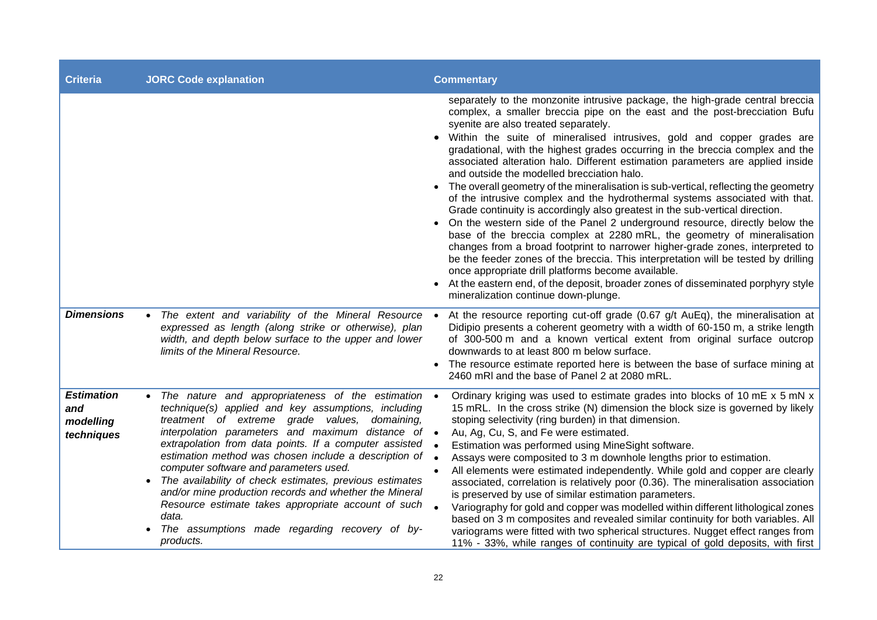| <b>Criteria</b>                                     | <b>JORC Code explanation</b>                                                                                                                                                                                                                                                                                                                                                                                                                                                                                                                                                                                                         | <b>Commentary</b>                                                                                                                                                                                                                                                                                                                                                                                                                                                                                                                                                                                                                                                                                                                                                                                                                                                                                                                                                                                                                                                                                                                                                                                                                                                        |
|-----------------------------------------------------|--------------------------------------------------------------------------------------------------------------------------------------------------------------------------------------------------------------------------------------------------------------------------------------------------------------------------------------------------------------------------------------------------------------------------------------------------------------------------------------------------------------------------------------------------------------------------------------------------------------------------------------|--------------------------------------------------------------------------------------------------------------------------------------------------------------------------------------------------------------------------------------------------------------------------------------------------------------------------------------------------------------------------------------------------------------------------------------------------------------------------------------------------------------------------------------------------------------------------------------------------------------------------------------------------------------------------------------------------------------------------------------------------------------------------------------------------------------------------------------------------------------------------------------------------------------------------------------------------------------------------------------------------------------------------------------------------------------------------------------------------------------------------------------------------------------------------------------------------------------------------------------------------------------------------|
|                                                     |                                                                                                                                                                                                                                                                                                                                                                                                                                                                                                                                                                                                                                      | separately to the monzonite intrusive package, the high-grade central breccia<br>complex, a smaller breccia pipe on the east and the post-brecciation Bufu<br>syenite are also treated separately.<br>Within the suite of mineralised intrusives, gold and copper grades are<br>gradational, with the highest grades occurring in the breccia complex and the<br>associated alteration halo. Different estimation parameters are applied inside<br>and outside the modelled brecciation halo.<br>• The overall geometry of the mineralisation is sub-vertical, reflecting the geometry<br>of the intrusive complex and the hydrothermal systems associated with that.<br>Grade continuity is accordingly also greatest in the sub-vertical direction.<br>On the western side of the Panel 2 underground resource, directly below the<br>base of the breccia complex at 2280 mRL, the geometry of mineralisation<br>changes from a broad footprint to narrower higher-grade zones, interpreted to<br>be the feeder zones of the breccia. This interpretation will be tested by drilling<br>once appropriate drill platforms become available.<br>At the eastern end, of the deposit, broader zones of disseminated porphyry style<br>mineralization continue down-plunge. |
| <b>Dimensions</b>                                   | The extent and variability of the Mineral Resource<br>expressed as length (along strike or otherwise), plan<br>width, and depth below surface to the upper and lower<br>limits of the Mineral Resource.                                                                                                                                                                                                                                                                                                                                                                                                                              | At the resource reporting cut-off grade (0.67 g/t AuEq), the mineralisation at<br>Didipio presents a coherent geometry with a width of 60-150 m, a strike length<br>of 300-500 m and a known vertical extent from original surface outcrop<br>downwards to at least 800 m below surface.<br>The resource estimate reported here is between the base of surface mining at<br>2460 mRI and the base of Panel 2 at 2080 mRL.                                                                                                                                                                                                                                                                                                                                                                                                                                                                                                                                                                                                                                                                                                                                                                                                                                                |
| <b>Estimation</b><br>and<br>modelling<br>techniques | • The nature and appropriateness of the estimation<br>technique(s) applied and key assumptions, including<br>treatment of extreme grade values,<br>domaining,<br>interpolation parameters and maximum distance of •<br>extrapolation from data points. If a computer assisted<br>estimation method was chosen include a description of<br>computer software and parameters used.<br>The availability of check estimates, previous estimates<br>and/or mine production records and whether the Mineral<br>Resource estimate takes appropriate account of such<br>data.<br>The assumptions made regarding recovery of by-<br>products. | Ordinary kriging was used to estimate grades into blocks of 10 mE x 5 mN x<br>15 mRL. In the cross strike (N) dimension the block size is governed by likely<br>stoping selectivity (ring burden) in that dimension.<br>Au, Ag, Cu, S, and Fe were estimated.<br>Estimation was performed using MineSight software.<br>Assays were composited to 3 m downhole lengths prior to estimation.<br>All elements were estimated independently. While gold and copper are clearly<br>associated, correlation is relatively poor (0.36). The mineralisation association<br>is preserved by use of similar estimation parameters.<br>Variography for gold and copper was modelled within different lithological zones<br>based on 3 m composites and revealed similar continuity for both variables. All<br>variograms were fitted with two spherical structures. Nugget effect ranges from<br>11% - 33%, while ranges of continuity are typical of gold deposits, with first                                                                                                                                                                                                                                                                                                     |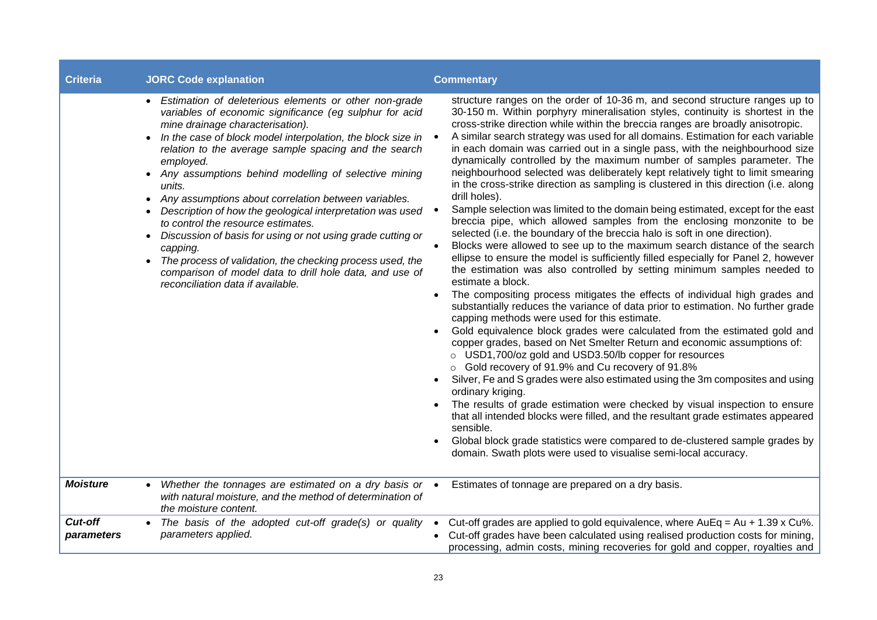| <b>Criteria</b>       | <b>JORC Code explanation</b>                                                                                                                                                                                                                                                                                                                                                                                                                                                                                                                                                                                                                                                                                                                                                                                   | <b>Commentary</b>                                                                                                                                                                                                                                                                                                                                                                                                                                                                                                                                                                                                                                                                                                                                                                                                                                                                                                                                                                                                                                                                                                                                                                                                                                                                                                                                                                                                                                                                                                                                                                                                                                                                                                                                                                                                                                                                                                                                                                                                                                                                                                                            |
|-----------------------|----------------------------------------------------------------------------------------------------------------------------------------------------------------------------------------------------------------------------------------------------------------------------------------------------------------------------------------------------------------------------------------------------------------------------------------------------------------------------------------------------------------------------------------------------------------------------------------------------------------------------------------------------------------------------------------------------------------------------------------------------------------------------------------------------------------|----------------------------------------------------------------------------------------------------------------------------------------------------------------------------------------------------------------------------------------------------------------------------------------------------------------------------------------------------------------------------------------------------------------------------------------------------------------------------------------------------------------------------------------------------------------------------------------------------------------------------------------------------------------------------------------------------------------------------------------------------------------------------------------------------------------------------------------------------------------------------------------------------------------------------------------------------------------------------------------------------------------------------------------------------------------------------------------------------------------------------------------------------------------------------------------------------------------------------------------------------------------------------------------------------------------------------------------------------------------------------------------------------------------------------------------------------------------------------------------------------------------------------------------------------------------------------------------------------------------------------------------------------------------------------------------------------------------------------------------------------------------------------------------------------------------------------------------------------------------------------------------------------------------------------------------------------------------------------------------------------------------------------------------------------------------------------------------------------------------------------------------------|
|                       | Estimation of deleterious elements or other non-grade<br>$\bullet$<br>variables of economic significance (eg sulphur for acid<br>mine drainage characterisation).<br>In the case of block model interpolation, the block size in<br>relation to the average sample spacing and the search<br>employed.<br>• Any assumptions behind modelling of selective mining<br>units.<br>• Any assumptions about correlation between variables.<br>Description of how the geological interpretation was used<br>٠<br>to control the resource estimates.<br>Discussion of basis for using or not using grade cutting or<br>$\bullet$<br>capping.<br>The process of validation, the checking process used, the<br>$\bullet$<br>comparison of model data to drill hole data, and use of<br>reconciliation data if available. | structure ranges on the order of 10-36 m, and second structure ranges up to<br>30-150 m. Within porphyry mineralisation styles, continuity is shortest in the<br>cross-strike direction while within the breccia ranges are broadly anisotropic.<br>A similar search strategy was used for all domains. Estimation for each variable<br>in each domain was carried out in a single pass, with the neighbourhood size<br>dynamically controlled by the maximum number of samples parameter. The<br>neighbourhood selected was deliberately kept relatively tight to limit smearing<br>in the cross-strike direction as sampling is clustered in this direction (i.e. along<br>drill holes).<br>Sample selection was limited to the domain being estimated, except for the east<br>breccia pipe, which allowed samples from the enclosing monzonite to be<br>selected (i.e. the boundary of the breccia halo is soft in one direction).<br>Blocks were allowed to see up to the maximum search distance of the search<br>ellipse to ensure the model is sufficiently filled especially for Panel 2, however<br>the estimation was also controlled by setting minimum samples needed to<br>estimate a block.<br>The compositing process mitigates the effects of individual high grades and<br>substantially reduces the variance of data prior to estimation. No further grade<br>capping methods were used for this estimate.<br>Gold equivalence block grades were calculated from the estimated gold and<br>copper grades, based on Net Smelter Return and economic assumptions of:<br>o USD1,700/oz gold and USD3.50/lb copper for resources<br>o Gold recovery of 91.9% and Cu recovery of 91.8%<br>Silver, Fe and S grades were also estimated using the 3m composites and using<br>ordinary kriging.<br>The results of grade estimation were checked by visual inspection to ensure<br>that all intended blocks were filled, and the resultant grade estimates appeared<br>sensible.<br>Global block grade statistics were compared to de-clustered sample grades by<br>domain. Swath plots were used to visualise semi-local accuracy. |
| <b>Moisture</b>       | Whether the tonnages are estimated on a dry basis or $\bullet$<br>with natural moisture, and the method of determination of<br>the moisture content.                                                                                                                                                                                                                                                                                                                                                                                                                                                                                                                                                                                                                                                           | Estimates of tonnage are prepared on a dry basis.                                                                                                                                                                                                                                                                                                                                                                                                                                                                                                                                                                                                                                                                                                                                                                                                                                                                                                                                                                                                                                                                                                                                                                                                                                                                                                                                                                                                                                                                                                                                                                                                                                                                                                                                                                                                                                                                                                                                                                                                                                                                                            |
| Cut-off<br>parameters | • The basis of the adopted cut-off grade(s) or quality<br>parameters applied.                                                                                                                                                                                                                                                                                                                                                                                                                                                                                                                                                                                                                                                                                                                                  | Cut-off grades are applied to gold equivalence, where $AuEq = Au + 1.39 \times Cu\%$ .<br>Cut-off grades have been calculated using realised production costs for mining,<br>processing, admin costs, mining recoveries for gold and copper, royalties and                                                                                                                                                                                                                                                                                                                                                                                                                                                                                                                                                                                                                                                                                                                                                                                                                                                                                                                                                                                                                                                                                                                                                                                                                                                                                                                                                                                                                                                                                                                                                                                                                                                                                                                                                                                                                                                                                   |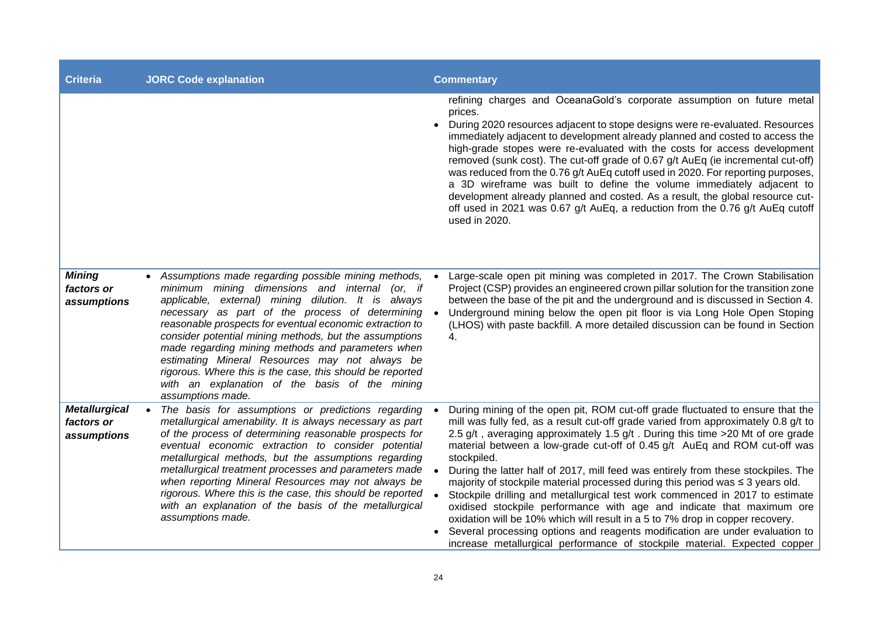| <b>Criteria</b>                                   | <b>JORC Code explanation</b>                                                                                                                                                                                                                                                                                                                                                                                                                                                                                                                                                     | <b>Commentary</b>                                                                                                                                                                                                                                                                                                                                                                                                                                                                                                                                                                                                                                                                                                                                                                                                                                                                                                                 |
|---------------------------------------------------|----------------------------------------------------------------------------------------------------------------------------------------------------------------------------------------------------------------------------------------------------------------------------------------------------------------------------------------------------------------------------------------------------------------------------------------------------------------------------------------------------------------------------------------------------------------------------------|-----------------------------------------------------------------------------------------------------------------------------------------------------------------------------------------------------------------------------------------------------------------------------------------------------------------------------------------------------------------------------------------------------------------------------------------------------------------------------------------------------------------------------------------------------------------------------------------------------------------------------------------------------------------------------------------------------------------------------------------------------------------------------------------------------------------------------------------------------------------------------------------------------------------------------------|
|                                                   |                                                                                                                                                                                                                                                                                                                                                                                                                                                                                                                                                                                  | refining charges and OceanaGold's corporate assumption on future metal<br>prices.<br>During 2020 resources adjacent to stope designs were re-evaluated. Resources<br>immediately adjacent to development already planned and costed to access the<br>high-grade stopes were re-evaluated with the costs for access development<br>removed (sunk cost). The cut-off grade of 0.67 g/t AuEq (ie incremental cut-off)<br>was reduced from the 0.76 g/t AuEq cutoff used in 2020. For reporting purposes,<br>a 3D wireframe was built to define the volume immediately adjacent to<br>development already planned and costed. As a result, the global resource cut-<br>off used in 2021 was 0.67 g/t AuEq, a reduction from the 0.76 g/t AuEq cutoff<br>used in 2020.                                                                                                                                                                 |
| <b>Mining</b><br>factors or<br>assumptions        | Assumptions made regarding possible mining methods,<br>minimum mining dimensions and internal (or, if<br>applicable, external) mining dilution. It is always<br>necessary as part of the process of determining<br>reasonable prospects for eventual economic extraction to<br>consider potential mining methods, but the assumptions<br>made regarding mining methods and parameters when<br>estimating Mineral Resources may not always be<br>rigorous. Where this is the case, this should be reported<br>with an explanation of the basis of the mining<br>assumptions made. | Large-scale open pit mining was completed in 2017. The Crown Stabilisation<br>Project (CSP) provides an engineered crown pillar solution for the transition zone<br>between the base of the pit and the underground and is discussed in Section 4.<br>Underground mining below the open pit floor is via Long Hole Open Stoping<br>(LHOS) with paste backfill. A more detailed discussion can be found in Section<br>4.                                                                                                                                                                                                                                                                                                                                                                                                                                                                                                           |
| <b>Metallurgical</b><br>factors or<br>assumptions | The basis for assumptions or predictions regarding<br>metallurgical amenability. It is always necessary as part<br>of the process of determining reasonable prospects for<br>eventual economic extraction to consider potential<br>metallurgical methods, but the assumptions regarding<br>metallurgical treatment processes and parameters made<br>when reporting Mineral Resources may not always be<br>rigorous. Where this is the case, this should be reported<br>with an explanation of the basis of the metallurgical<br>assumptions made.                                | During mining of the open pit, ROM cut-off grade fluctuated to ensure that the<br>mill was fully fed, as a result cut-off grade varied from approximately 0.8 g/t to<br>2.5 g/t, averaging approximately 1.5 g/t. During this time > 20 Mt of ore grade<br>material between a low-grade cut-off of 0.45 g/t AuEq and ROM cut-off was<br>stockpiled.<br>During the latter half of 2017, mill feed was entirely from these stockpiles. The<br>majority of stockpile material processed during this period was ≤ 3 years old.<br>Stockpile drilling and metallurgical test work commenced in 2017 to estimate<br>oxidised stockpile performance with age and indicate that maximum ore<br>oxidation will be 10% which will result in a 5 to 7% drop in copper recovery.<br>Several processing options and reagents modification are under evaluation to<br>increase metallurgical performance of stockpile material. Expected copper |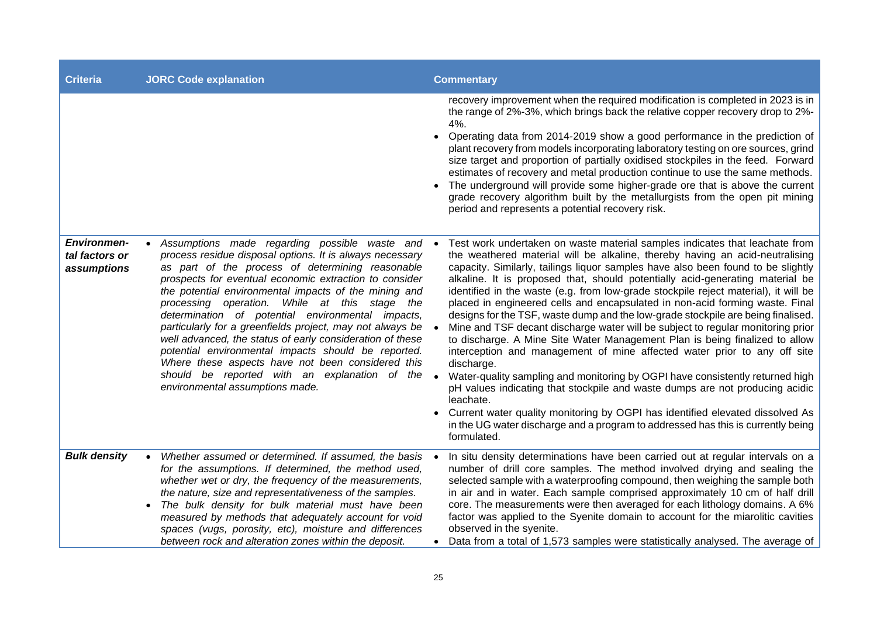| <b>Criteria</b>                                     | <b>JORC Code explanation</b>                                                                                                                                                                                                                                                                                                                                                                                                                                                                                                                                                                                                                                                                                       | <b>Commentary</b>                                                                                                                                                                                                                                                                                                                                                                                                                                                                                                                                                                                                                                                                                                                                                                                                                                                                                                                                                                                                                                                                                                                                                                                                         |
|-----------------------------------------------------|--------------------------------------------------------------------------------------------------------------------------------------------------------------------------------------------------------------------------------------------------------------------------------------------------------------------------------------------------------------------------------------------------------------------------------------------------------------------------------------------------------------------------------------------------------------------------------------------------------------------------------------------------------------------------------------------------------------------|---------------------------------------------------------------------------------------------------------------------------------------------------------------------------------------------------------------------------------------------------------------------------------------------------------------------------------------------------------------------------------------------------------------------------------------------------------------------------------------------------------------------------------------------------------------------------------------------------------------------------------------------------------------------------------------------------------------------------------------------------------------------------------------------------------------------------------------------------------------------------------------------------------------------------------------------------------------------------------------------------------------------------------------------------------------------------------------------------------------------------------------------------------------------------------------------------------------------------|
|                                                     |                                                                                                                                                                                                                                                                                                                                                                                                                                                                                                                                                                                                                                                                                                                    | recovery improvement when the required modification is completed in 2023 is in<br>the range of 2%-3%, which brings back the relative copper recovery drop to 2%-<br>4%.<br>Operating data from 2014-2019 show a good performance in the prediction of<br>plant recovery from models incorporating laboratory testing on ore sources, grind<br>size target and proportion of partially oxidised stockpiles in the feed. Forward<br>estimates of recovery and metal production continue to use the same methods.<br>The underground will provide some higher-grade ore that is above the current<br>grade recovery algorithm built by the metallurgists from the open pit mining<br>period and represents a potential recovery risk.                                                                                                                                                                                                                                                                                                                                                                                                                                                                                        |
| <b>Environmen-</b><br>tal factors or<br>assumptions | Assumptions made regarding possible waste and •<br>process residue disposal options. It is always necessary<br>as part of the process of determining reasonable<br>prospects for eventual economic extraction to consider<br>the potential environmental impacts of the mining and<br>processing operation. While at this stage the<br>determination of potential environmental impacts,<br>particularly for a greenfields project, may not always be<br>well advanced, the status of early consideration of these<br>potential environmental impacts should be reported.<br>Where these aspects have not been considered this<br>should be reported with an explanation of the<br>environmental assumptions made. | Test work undertaken on waste material samples indicates that leachate from<br>the weathered material will be alkaline, thereby having an acid-neutralising<br>capacity. Similarly, tailings liquor samples have also been found to be slightly<br>alkaline. It is proposed that, should potentially acid-generating material be<br>identified in the waste (e.g. from low-grade stockpile reject material), it will be<br>placed in engineered cells and encapsulated in non-acid forming waste. Final<br>designs for the TSF, waste dump and the low-grade stockpile are being finalised.<br>Mine and TSF decant discharge water will be subject to regular monitoring prior<br>to discharge. A Mine Site Water Management Plan is being finalized to allow<br>interception and management of mine affected water prior to any off site<br>discharge.<br>Water-quality sampling and monitoring by OGPI have consistently returned high<br>pH values indicating that stockpile and waste dumps are not producing acidic<br>leachate.<br>Current water quality monitoring by OGPI has identified elevated dissolved As<br>in the UG water discharge and a program to addressed has this is currently being<br>formulated. |
| <b>Bulk density</b>                                 | Whether assumed or determined. If assumed, the basis<br>for the assumptions. If determined, the method used,<br>whether wet or dry, the frequency of the measurements,<br>the nature, size and representativeness of the samples.<br>The bulk density for bulk material must have been<br>measured by methods that adequately account for void<br>spaces (vugs, porosity, etc), moisture and differences<br>between rock and alteration zones within the deposit.                                                                                                                                                                                                                                                  | In situ density determinations have been carried out at regular intervals on a<br>number of drill core samples. The method involved drying and sealing the<br>selected sample with a waterproofing compound, then weighing the sample both<br>in air and in water. Each sample comprised approximately 10 cm of half drill<br>core. The measurements were then averaged for each lithology domains. A 6%<br>factor was applied to the Syenite domain to account for the miarolitic cavities<br>observed in the syenite.<br>Data from a total of 1,573 samples were statistically analysed. The average of                                                                                                                                                                                                                                                                                                                                                                                                                                                                                                                                                                                                                 |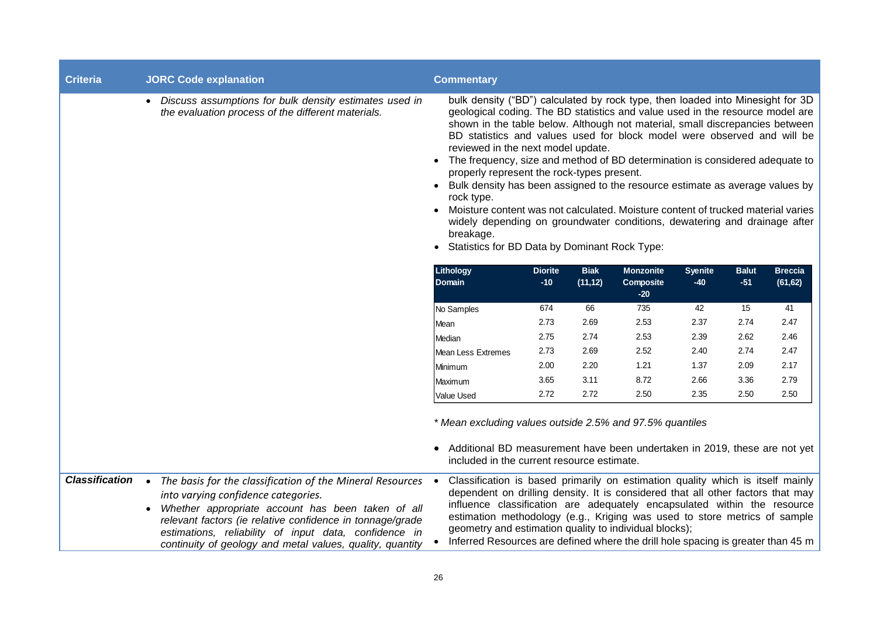| <b>Criteria</b>       | <b>JORC Code explanation</b>                                                                                                                                                                                                                                                                                                               | <b>Commentary</b>                                                                                                                                                                                                                                                                                                                                                                                                                                                                                                                                                                                                                                                                                                                                                                                                                 |                         |                         |                                        |                         |                       |                            |
|-----------------------|--------------------------------------------------------------------------------------------------------------------------------------------------------------------------------------------------------------------------------------------------------------------------------------------------------------------------------------------|-----------------------------------------------------------------------------------------------------------------------------------------------------------------------------------------------------------------------------------------------------------------------------------------------------------------------------------------------------------------------------------------------------------------------------------------------------------------------------------------------------------------------------------------------------------------------------------------------------------------------------------------------------------------------------------------------------------------------------------------------------------------------------------------------------------------------------------|-------------------------|-------------------------|----------------------------------------|-------------------------|-----------------------|----------------------------|
|                       | • Discuss assumptions for bulk density estimates used in<br>the evaluation process of the different materials.                                                                                                                                                                                                                             | bulk density ("BD") calculated by rock type, then loaded into Minesight for 3D<br>geological coding. The BD statistics and value used in the resource model are<br>shown in the table below. Although not material, small discrepancies between<br>BD statistics and values used for block model were observed and will be<br>reviewed in the next model update.<br>• The frequency, size and method of BD determination is considered adequate to<br>properly represent the rock-types present.<br>• Bulk density has been assigned to the resource estimate as average values by<br>rock type.<br>Moisture content was not calculated. Moisture content of trucked material varies<br>widely depending on groundwater conditions, dewatering and drainage after<br>breakage.<br>• Statistics for BD Data by Dominant Rock Type: |                         |                         |                                        |                         |                       |                            |
|                       |                                                                                                                                                                                                                                                                                                                                            | Lithology<br><b>Domain</b>                                                                                                                                                                                                                                                                                                                                                                                                                                                                                                                                                                                                                                                                                                                                                                                                        | <b>Diorite</b><br>$-10$ | <b>Biak</b><br>(11, 12) | <b>Monzonite</b><br>Composite<br>$-20$ | <b>Syenite</b><br>$-40$ | <b>Balut</b><br>$-51$ | <b>Breccia</b><br>(61, 62) |
|                       |                                                                                                                                                                                                                                                                                                                                            | No Samples                                                                                                                                                                                                                                                                                                                                                                                                                                                                                                                                                                                                                                                                                                                                                                                                                        | 674                     | 66                      | 735                                    | 42                      | 15                    | 41                         |
|                       |                                                                                                                                                                                                                                                                                                                                            | <b>Mean</b>                                                                                                                                                                                                                                                                                                                                                                                                                                                                                                                                                                                                                                                                                                                                                                                                                       | 2.73                    | 2.69                    | 2.53                                   | 2.37                    | 2.74                  | 2.47                       |
|                       |                                                                                                                                                                                                                                                                                                                                            | Median                                                                                                                                                                                                                                                                                                                                                                                                                                                                                                                                                                                                                                                                                                                                                                                                                            | 2.75                    | 2.74                    | 2.53                                   | 2.39                    | 2.62                  | 2.46                       |
|                       |                                                                                                                                                                                                                                                                                                                                            | Mean Less Extremes                                                                                                                                                                                                                                                                                                                                                                                                                                                                                                                                                                                                                                                                                                                                                                                                                | 2.73                    | 2.69                    | 2.52                                   | 2.40                    | 2.74                  | 2.47                       |
|                       |                                                                                                                                                                                                                                                                                                                                            | Minimum                                                                                                                                                                                                                                                                                                                                                                                                                                                                                                                                                                                                                                                                                                                                                                                                                           | 2.00                    | 2.20                    | 1.21                                   | 1.37                    | 2.09                  | 2.17                       |
|                       |                                                                                                                                                                                                                                                                                                                                            | Maximum                                                                                                                                                                                                                                                                                                                                                                                                                                                                                                                                                                                                                                                                                                                                                                                                                           | 3.65                    | 3.11                    | 8.72                                   | 2.66                    | 3.36                  | 2.79                       |
|                       |                                                                                                                                                                                                                                                                                                                                            | <b>Value Used</b>                                                                                                                                                                                                                                                                                                                                                                                                                                                                                                                                                                                                                                                                                                                                                                                                                 | 2.72                    | 2.72                    | 2.50                                   | 2.35                    | 2.50                  | 2.50                       |
|                       |                                                                                                                                                                                                                                                                                                                                            | * Mean excluding values outside 2.5% and 97.5% quantiles<br>Additional BD measurement have been undertaken in 2019, these are not yet<br>included in the current resource estimate.                                                                                                                                                                                                                                                                                                                                                                                                                                                                                                                                                                                                                                               |                         |                         |                                        |                         |                       |                            |
| <b>Classification</b> | • The basis for the classification of the Mineral Resources<br>into varying confidence categories.<br>Whether appropriate account has been taken of all<br>relevant factors (ie relative confidence in tonnage/grade<br>estimations, reliability of input data, confidence in<br>continuity of geology and metal values, quality, quantity | Classification is based primarily on estimation quality which is itself mainly<br>dependent on drilling density. It is considered that all other factors that may<br>influence classification are adequately encapsulated within the resource<br>estimation methodology (e.g., Kriging was used to store metrics of sample<br>geometry and estimation quality to individual blocks);<br>Inferred Resources are defined where the drill hole spacing is greater than 45 m                                                                                                                                                                                                                                                                                                                                                          |                         |                         |                                        |                         |                       |                            |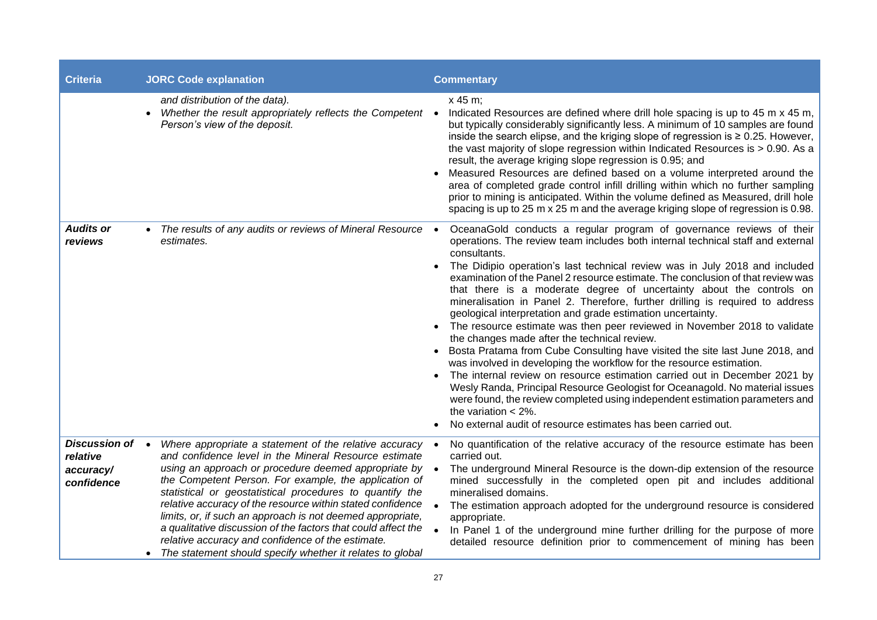| <b>Criteria</b>                                        | <b>JORC Code explanation</b>                                                                                                                                                                                                                                                                                                                                                                                                                                                                                                                                                                                  | <b>Commentary</b>                                                                                                                                                                                                                                                                                                                                                                                                                                                                                                                                                                                                                                                                                                                                                                                                                                                                                                                                                                                                                                                                                                                                                                                           |
|--------------------------------------------------------|---------------------------------------------------------------------------------------------------------------------------------------------------------------------------------------------------------------------------------------------------------------------------------------------------------------------------------------------------------------------------------------------------------------------------------------------------------------------------------------------------------------------------------------------------------------------------------------------------------------|-------------------------------------------------------------------------------------------------------------------------------------------------------------------------------------------------------------------------------------------------------------------------------------------------------------------------------------------------------------------------------------------------------------------------------------------------------------------------------------------------------------------------------------------------------------------------------------------------------------------------------------------------------------------------------------------------------------------------------------------------------------------------------------------------------------------------------------------------------------------------------------------------------------------------------------------------------------------------------------------------------------------------------------------------------------------------------------------------------------------------------------------------------------------------------------------------------------|
|                                                        | and distribution of the data).<br>Whether the result appropriately reflects the Competent<br>$\bullet$<br>Person's view of the deposit.                                                                                                                                                                                                                                                                                                                                                                                                                                                                       | x 45 m;<br>Indicated Resources are defined where drill hole spacing is up to 45 m x 45 m,<br>$\bullet$<br>but typically considerably significantly less. A minimum of 10 samples are found<br>inside the search elipse, and the kriging slope of regression is $\geq 0.25$ . However,<br>the vast majority of slope regression within Indicated Resources is $> 0.90$ . As a<br>result, the average kriging slope regression is 0.95; and<br>Measured Resources are defined based on a volume interpreted around the<br>area of completed grade control infill drilling within which no further sampling<br>prior to mining is anticipated. Within the volume defined as Measured, drill hole<br>spacing is up to 25 m x 25 m and the average kriging slope of regression is 0.98.                                                                                                                                                                                                                                                                                                                                                                                                                          |
| <b>Audits or</b><br>reviews                            | The results of any audits or reviews of Mineral Resource<br>estimates.                                                                                                                                                                                                                                                                                                                                                                                                                                                                                                                                        | OceanaGold conducts a regular program of governance reviews of their<br>$\bullet$<br>operations. The review team includes both internal technical staff and external<br>consultants.<br>The Didipio operation's last technical review was in July 2018 and included<br>examination of the Panel 2 resource estimate. The conclusion of that review was<br>that there is a moderate degree of uncertainty about the controls on<br>mineralisation in Panel 2. Therefore, further drilling is required to address<br>geological interpretation and grade estimation uncertainty.<br>The resource estimate was then peer reviewed in November 2018 to validate<br>the changes made after the technical review.<br>Bosta Pratama from Cube Consulting have visited the site last June 2018, and<br>was involved in developing the workflow for the resource estimation.<br>The internal review on resource estimation carried out in December 2021 by<br>Wesly Randa, Principal Resource Geologist for Oceanagold. No material issues<br>were found, the review completed using independent estimation parameters and<br>the variation $<$ 2%.<br>No external audit of resource estimates has been carried out. |
| Discussion of .<br>relative<br>accuracy/<br>confidence | Where appropriate a statement of the relative accuracy<br>and confidence level in the Mineral Resource estimate<br>using an approach or procedure deemed appropriate by<br>the Competent Person. For example, the application of<br>statistical or geostatistical procedures to quantify the<br>relative accuracy of the resource within stated confidence<br>limits, or, if such an approach is not deemed appropriate,<br>a qualitative discussion of the factors that could affect the<br>relative accuracy and confidence of the estimate.<br>• The statement should specify whether it relates to global | No quantification of the relative accuracy of the resource estimate has been<br>$\bullet$<br>carried out.<br>The underground Mineral Resource is the down-dip extension of the resource<br>mined successfully in the completed open pit and includes additional<br>mineralised domains.<br>The estimation approach adopted for the underground resource is considered<br>appropriate.<br>In Panel 1 of the underground mine further drilling for the purpose of more<br>detailed resource definition prior to commencement of mining has been                                                                                                                                                                                                                                                                                                                                                                                                                                                                                                                                                                                                                                                               |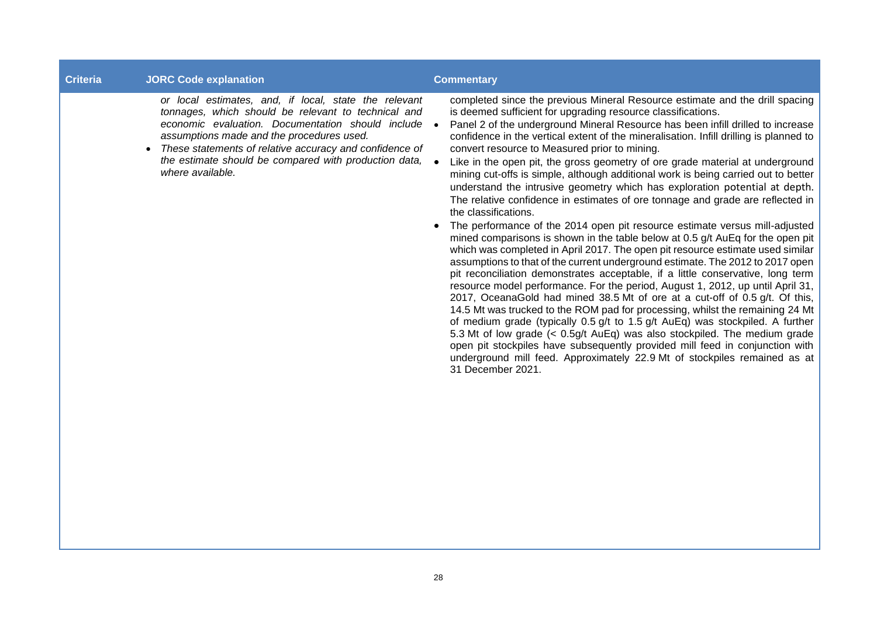# **Criteria JORC Code explanation Commentary**

*or local estimates, and, if local, state the relevant tonnages, which should be relevant to technical and economic evaluation. Documentation should include assumptions made and the procedures used.*

• *These statements of relative accuracy and confidence of the estimate should be compared with production data, where available.*

completed since the previous Mineral Resource estimate and the drill spacing is deemed sufficient for upgrading resource classifications.

• Panel 2 of the underground Mineral Resource has been infill drilled to increase confidence in the vertical extent of the mineralisation. Infill drilling is planned to convert resource to Measured prior to mining.

- Like in the open pit, the gross geometry of ore grade material at underground mining cut-offs is simple, although additional work is being carried out to better understand the intrusive geometry which has exploration potential at depth. The relative confidence in estimates of ore tonnage and grade are reflected in the classifications.
- The performance of the 2014 open pit resource estimate versus mill-adjusted mined comparisons is shown in the table below at 0.5 g/t AuEq for the open pit which was completed in April 2017. The open pit resource estimate used similar assumptions to that of the current underground estimate. The 2012 to 2017 open pit reconciliation demonstrates acceptable, if a little conservative, long term resource model performance. For the period, August 1, 2012, up until April 31, 2017, OceanaGold had mined 38.5 Mt of ore at a cut-off of 0.5 g/t. Of this, 14.5 Mt was trucked to the ROM pad for processing, whilst the remaining 24 Mt of medium grade (typically 0.5 g/t to 1.5 g/t AuEq) was stockpiled. A further 5.3 Mt of low grade (< 0.5g/t AuEq) was also stockpiled. The medium grade open pit stockpiles have subsequently provided mill feed in conjunction with underground mill feed. Approximately 22.9 Mt of stockpiles remained as at 31 December 2021.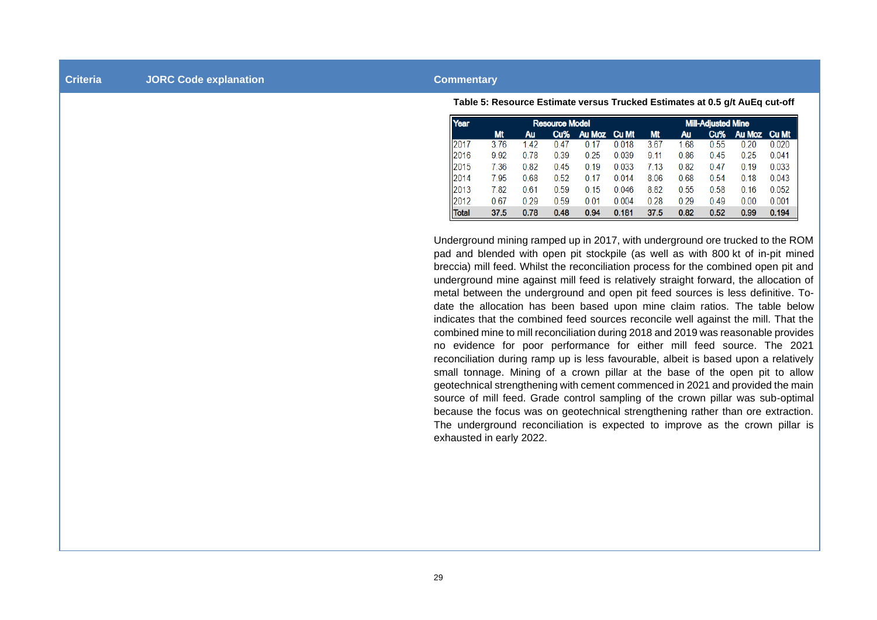#### **Criteria JORC Code explanation Commentary**

**Table 5: Resource Estimate versus Trucked Estimates at 0.5 g/t AuEq cut-off**

| Year             |           |      | <b>Resource Model</b> |               |              |           |      | <b>Mill-Adjusted Mine</b> |        |              |
|------------------|-----------|------|-----------------------|---------------|--------------|-----------|------|---------------------------|--------|--------------|
|                  | <b>Mt</b> | Au   | Cu%                   | <b>Au Moz</b> | <b>Cu Mt</b> | <b>Mt</b> | Au   | Cu%                       | Au Moz | <b>Cu Mt</b> |
| $\parallel$ 2017 | 3.76      | 1.42 | 0.47                  | 0.17          | 0.018        | 3.67      | 1.68 | 0.55                      | 0.20   | 0.020        |
| 2016             | 9.92      | 0.78 | 0.39                  | 0.25          | 0.039        | 9.11      | 0.86 | 0.45                      | 0.25   | 0.041        |
| 2015             | 7.36      | 0.82 | 0.45                  | 0.19          | 0.033        | 7.13      | 0.82 | 0.47                      | 0.19   | 0.033        |
| 2014             | 7.95      | 0.68 | 0.52                  | 0.17          | 0.014        | 8.06      | 0.68 | 0.54                      | 0.18   | 0.043        |
| 2013             | 7.82      | 0.61 | 0.59                  | 0.15          | 0.046        | 8.82      | 0.55 | 0.58                      | 0.16   | 0.052        |
| 2012             | 0.67      | 0.29 | 0.59                  | 0.01          | 0.004        | 0.28      | 0.29 | 0.49                      | 0.00   | 0.001        |
| <b>Total</b>     | 37.5      | 0.78 | 0.48                  | 0.94          | 0.181        | 37.5      | 0.82 | 0.52                      | 0.99   | 0.194        |

Underground mining ramped up in 2017, with underground ore trucked to the ROM pad and blended with open pit stockpile (as well as with 800 kt of in-pit mined breccia) mill feed. Whilst the reconciliation process for the combined open pit and underground mine against mill feed is relatively straight forward, the allocation of metal between the underground and open pit feed sources is less definitive. Todate the allocation has been based upon mine claim ratios. The table below indicates that the combined feed sources reconcile well against the mill. That the combined mine to mill reconciliation during 2018 and 2019 was reasonable provides no evidence for poor performance for either mill feed source. The 2021 reconciliation during ramp up is less favourable, albeit is based upon a relatively small tonnage. Mining of a crown pillar at the base of the open pit to allow geotechnical strengthening with cement commenced in 2021 and provided the main source of mill feed. Grade control sampling of the crown pillar was sub-optimal because the focus was on geotechnical strengthening rather than ore extraction. The underground reconciliation is expected to improve as the crown pillar is exhausted in early 2022.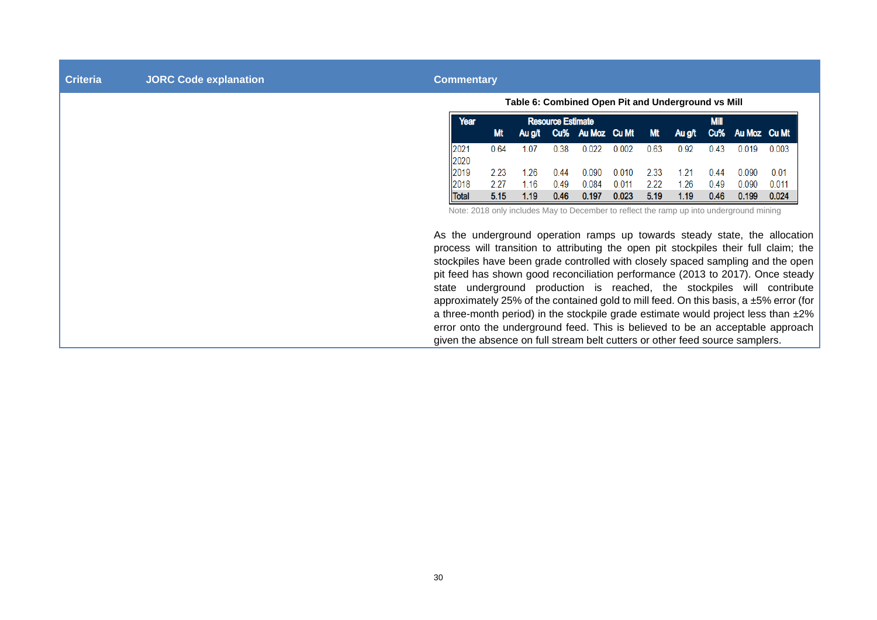**Criteria JORC Code explanation Commentary**

**Table 6: Combined Open Pit and Underground vs Mill**

| Year         |      |       | <b>Resource Estimate</b> |                                                  |       |      |      | <b>Mill</b> |         |       |
|--------------|------|-------|--------------------------|--------------------------------------------------|-------|------|------|-------------|---------|-------|
|              | Mt   |       |                          | Aug/t Cu% Au Moz Cu Mt Mt Aug/t Cu% Au Moz Cu Mt |       |      |      |             |         |       |
| 2021         | 0.64 | 1 0 7 | 0.38                     | 0.022                                            | 0.002 | 0.63 | 0.92 | 0.43        | 0 0 1 9 | 0.003 |
| 2020         |      |       |                          |                                                  |       |      |      |             |         |       |
| 2019         | 2.23 | 1 26. | 0.44                     | 0.090                                            | 0.010 | 2.33 | 1 21 | 0.44        | 0.090   | 0.01  |
| 2018         | 227  | 1.16  | 0.49                     | 0.084                                            | 0.011 | 2.22 | 1.26 | 0.49        | 0.090   | 0.011 |
| <b>Total</b> | 5.15 | 1.19  | 0.46                     | 0.197                                            | 0.023 | 5.19 | 1.19 | 0.46        | 0.199   | 0.024 |

Note: 2018 only includes May to December to reflect the ramp up into underground mining

As the underground operation ramps up towards steady state, the allocation process will transition to attributing the open pit stockpiles their full claim; the stockpiles have been grade controlled with closely spaced sampling and the open pit feed has shown good reconciliation performance (2013 to 2017). Once steady state underground production is reached, the stockpiles will contribute approximately 25% of the contained gold to mill feed. On this basis,  $a \pm 5\%$  error (for a three-month period) in the stockpile grade estimate would project less than ±2% error onto the underground feed. This is believed to be an acceptable approach given the absence on full stream belt cutters or other feed source samplers.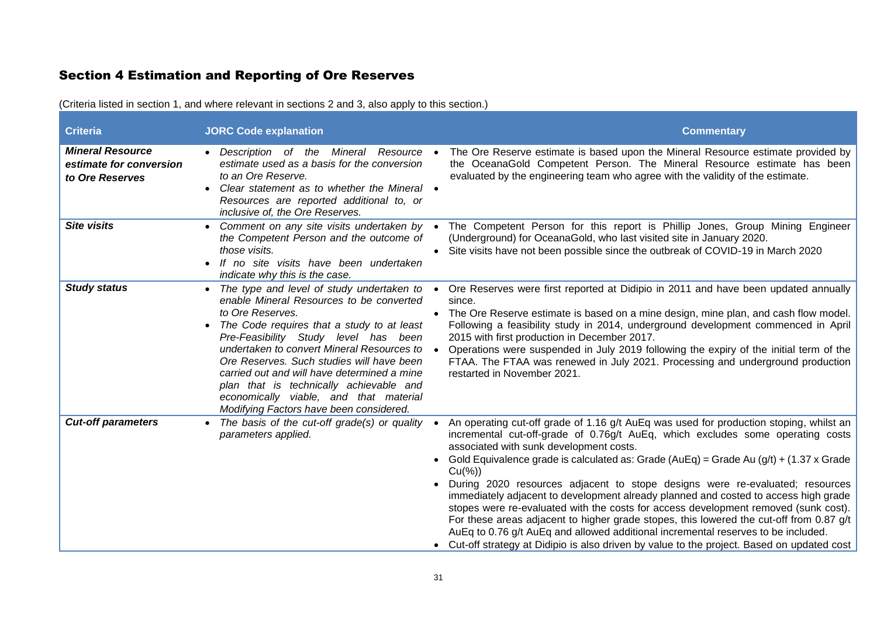# Section 4 Estimation and Reporting of Ore Reserves

| <b>Criteria</b>                                                       | <b>JORC Code explanation</b>                                                                                                                                                                                                                                                                                                                                                                                                                                              | <b>Commentary</b>                                                                                                                                                                                                                                                                                                                                                                                                                                                                                                                                                                                                                                                                                                                                                                                                                                                                           |
|-----------------------------------------------------------------------|---------------------------------------------------------------------------------------------------------------------------------------------------------------------------------------------------------------------------------------------------------------------------------------------------------------------------------------------------------------------------------------------------------------------------------------------------------------------------|---------------------------------------------------------------------------------------------------------------------------------------------------------------------------------------------------------------------------------------------------------------------------------------------------------------------------------------------------------------------------------------------------------------------------------------------------------------------------------------------------------------------------------------------------------------------------------------------------------------------------------------------------------------------------------------------------------------------------------------------------------------------------------------------------------------------------------------------------------------------------------------------|
| <b>Mineral Resource</b><br>estimate for conversion<br>to Ore Reserves | Description of the Mineral<br>Resource<br>estimate used as a basis for the conversion<br>to an Ore Reserve.<br>Clear statement as to whether the Mineral •<br>Resources are reported additional to, or<br>inclusive of, the Ore Reserves.                                                                                                                                                                                                                                 | The Ore Reserve estimate is based upon the Mineral Resource estimate provided by<br>the OceanaGold Competent Person. The Mineral Resource estimate has been<br>evaluated by the engineering team who agree with the validity of the estimate.                                                                                                                                                                                                                                                                                                                                                                                                                                                                                                                                                                                                                                               |
| <b>Site visits</b>                                                    | Comment on any site visits undertaken by<br>the Competent Person and the outcome of<br>those visits.<br>If no site visits have been undertaken<br>indicate why this is the case.                                                                                                                                                                                                                                                                                          | The Competent Person for this report is Phillip Jones, Group Mining Engineer<br>$\bullet$<br>(Underground) for OceanaGold, who last visited site in January 2020.<br>Site visits have not been possible since the outbreak of COVID-19 in March 2020                                                                                                                                                                                                                                                                                                                                                                                                                                                                                                                                                                                                                                        |
| <b>Study status</b>                                                   | The type and level of study undertaken to<br>enable Mineral Resources to be converted<br>to Ore Reserves.<br>The Code requires that a study to at least<br>Pre-Feasibility Study level has been<br>undertaken to convert Mineral Resources to<br>Ore Reserves. Such studies will have been<br>carried out and will have determined a mine<br>plan that is technically achievable and<br>economically viable, and that material<br>Modifying Factors have been considered. | Ore Reserves were first reported at Didipio in 2011 and have been updated annually<br>$\bullet$<br>since.<br>• The Ore Reserve estimate is based on a mine design, mine plan, and cash flow model.<br>Following a feasibility study in 2014, underground development commenced in April<br>2015 with first production in December 2017.<br>Operations were suspended in July 2019 following the expiry of the initial term of the<br>FTAA. The FTAA was renewed in July 2021. Processing and underground production<br>restarted in November 2021.                                                                                                                                                                                                                                                                                                                                          |
| <b>Cut-off parameters</b>                                             | The basis of the cut-off grade(s) or quality<br>parameters applied.                                                                                                                                                                                                                                                                                                                                                                                                       | An operating cut-off grade of 1.16 g/t AuEq was used for production stoping, whilst an<br>incremental cut-off-grade of 0.76g/t AuEq, which excludes some operating costs<br>associated with sunk development costs.<br>Gold Equivalence grade is calculated as: Grade ( $AuEq$ ) = Grade Au ( $g/t$ ) + (1.37 x Grade<br>$\bullet$<br>$Cu(\%)$<br>During 2020 resources adjacent to stope designs were re-evaluated; resources<br>immediately adjacent to development already planned and costed to access high grade<br>stopes were re-evaluated with the costs for access development removed (sunk cost).<br>For these areas adjacent to higher grade stopes, this lowered the cut-off from 0.87 g/t<br>AuEq to 0.76 g/t AuEq and allowed additional incremental reserves to be included.<br>• Cut-off strategy at Didipio is also driven by value to the project. Based on updated cost |

(Criteria listed in section 1, and where relevant in sections 2 and 3, also apply to this section.)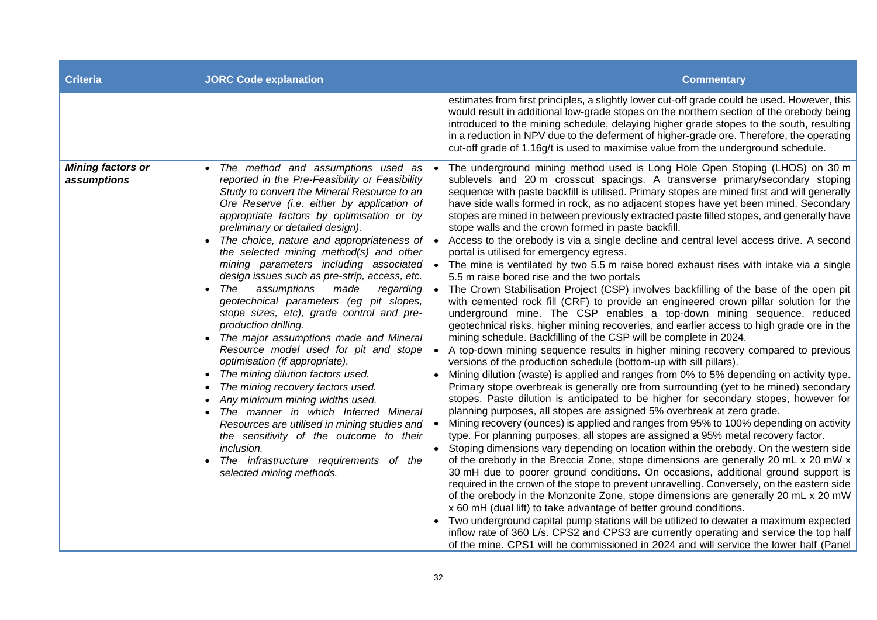| <b>Criteria</b>                         | <b>JORC Code explanation</b>                                                                                                                                                                                                                                                                                                                                                                                                                                                                                                                                                                                                                                                                                                                                                                                                                                                                                                                                                                                                                                                                                                      | <b>Commentary</b>                                                                                                                                                                                                                                                                                                                                                                                                                                                                                                                                                                                                                                                                                                                                                                                                                                                                                                                                                                                                                                                                                                                                                                                                                                                                                                                                                                                                                                                                                                                                                                                                                                                                                                                                                                                                                                                                                                                                                                                                                                                                                                                                                                                                                                                                                                                                                                                                                                                                                                                                                                                                                                                                                                        |
|-----------------------------------------|-----------------------------------------------------------------------------------------------------------------------------------------------------------------------------------------------------------------------------------------------------------------------------------------------------------------------------------------------------------------------------------------------------------------------------------------------------------------------------------------------------------------------------------------------------------------------------------------------------------------------------------------------------------------------------------------------------------------------------------------------------------------------------------------------------------------------------------------------------------------------------------------------------------------------------------------------------------------------------------------------------------------------------------------------------------------------------------------------------------------------------------|--------------------------------------------------------------------------------------------------------------------------------------------------------------------------------------------------------------------------------------------------------------------------------------------------------------------------------------------------------------------------------------------------------------------------------------------------------------------------------------------------------------------------------------------------------------------------------------------------------------------------------------------------------------------------------------------------------------------------------------------------------------------------------------------------------------------------------------------------------------------------------------------------------------------------------------------------------------------------------------------------------------------------------------------------------------------------------------------------------------------------------------------------------------------------------------------------------------------------------------------------------------------------------------------------------------------------------------------------------------------------------------------------------------------------------------------------------------------------------------------------------------------------------------------------------------------------------------------------------------------------------------------------------------------------------------------------------------------------------------------------------------------------------------------------------------------------------------------------------------------------------------------------------------------------------------------------------------------------------------------------------------------------------------------------------------------------------------------------------------------------------------------------------------------------------------------------------------------------------------------------------------------------------------------------------------------------------------------------------------------------------------------------------------------------------------------------------------------------------------------------------------------------------------------------------------------------------------------------------------------------------------------------------------------------------------------------------------------------|
|                                         |                                                                                                                                                                                                                                                                                                                                                                                                                                                                                                                                                                                                                                                                                                                                                                                                                                                                                                                                                                                                                                                                                                                                   | estimates from first principles, a slightly lower cut-off grade could be used. However, this<br>would result in additional low-grade stopes on the northern section of the orebody being<br>introduced to the mining schedule, delaying higher grade stopes to the south, resulting<br>in a reduction in NPV due to the deferment of higher-grade ore. Therefore, the operating<br>cut-off grade of 1.16g/t is used to maximise value from the underground schedule.                                                                                                                                                                                                                                                                                                                                                                                                                                                                                                                                                                                                                                                                                                                                                                                                                                                                                                                                                                                                                                                                                                                                                                                                                                                                                                                                                                                                                                                                                                                                                                                                                                                                                                                                                                                                                                                                                                                                                                                                                                                                                                                                                                                                                                                     |
| <b>Mining factors or</b><br>assumptions | • The method and assumptions used as •<br>reported in the Pre-Feasibility or Feasibility<br>Study to convert the Mineral Resource to an<br>Ore Reserve (i.e. either by application of<br>appropriate factors by optimisation or by<br>preliminary or detailed design).<br>The choice, nature and appropriateness of $\bullet$<br>the selected mining method(s) and other<br>mining parameters including associated •<br>design issues such as pre-strip, access, etc.<br>The<br>assumptions<br>made<br>regarding •<br>geotechnical parameters (eg pit slopes,<br>stope sizes, etc), grade control and pre-<br>production drilling.<br>• The major assumptions made and Mineral<br>Resource model used for pit and stope<br>$\bullet$<br>optimisation (if appropriate).<br>The mining dilution factors used.<br>The mining recovery factors used.<br>Any minimum mining widths used.<br>The manner in which Inferred Mineral<br>Resources are utilised in mining studies and $\bullet$<br>the sensitivity of the outcome to their<br>inclusion.<br>$\bullet$<br>The infrastructure requirements of the<br>selected mining methods. | The underground mining method used is Long Hole Open Stoping (LHOS) on 30 m<br>sublevels and 20 m crosscut spacings. A transverse primary/secondary stoping<br>sequence with paste backfill is utilised. Primary stopes are mined first and will generally<br>have side walls formed in rock, as no adjacent stopes have yet been mined. Secondary<br>stopes are mined in between previously extracted paste filled stopes, and generally have<br>stope walls and the crown formed in paste backfill.<br>Access to the orebody is via a single decline and central level access drive. A second<br>portal is utilised for emergency egress.<br>The mine is ventilated by two 5.5 m raise bored exhaust rises with intake via a single<br>5.5 m raise bored rise and the two portals<br>The Crown Stabilisation Project (CSP) involves backfilling of the base of the open pit<br>with cemented rock fill (CRF) to provide an engineered crown pillar solution for the<br>underground mine. The CSP enables a top-down mining sequence, reduced<br>geotechnical risks, higher mining recoveries, and earlier access to high grade ore in the<br>mining schedule. Backfilling of the CSP will be complete in 2024.<br>A top-down mining sequence results in higher mining recovery compared to previous<br>versions of the production schedule (bottom-up with sill pillars).<br>Mining dilution (waste) is applied and ranges from 0% to 5% depending on activity type.<br>Primary stope overbreak is generally ore from surrounding (yet to be mined) secondary<br>stopes. Paste dilution is anticipated to be higher for secondary stopes, however for<br>planning purposes, all stopes are assigned 5% overbreak at zero grade.<br>Mining recovery (ounces) is applied and ranges from 95% to 100% depending on activity<br>type. For planning purposes, all stopes are assigned a 95% metal recovery factor.<br>Stoping dimensions vary depending on location within the orebody. On the western side<br>of the orebody in the Breccia Zone, stope dimensions are generally 20 mL x 20 mW x<br>30 mH due to poorer ground conditions. On occasions, additional ground support is<br>required in the crown of the stope to prevent unravelling. Conversely, on the eastern side<br>of the orebody in the Monzonite Zone, stope dimensions are generally 20 mL x 20 mW<br>x 60 mH (dual lift) to take advantage of better ground conditions.<br>Two underground capital pump stations will be utilized to dewater a maximum expected<br>inflow rate of 360 L/s. CPS2 and CPS3 are currently operating and service the top half<br>of the mine. CPS1 will be commissioned in 2024 and will service the lower half (Panel |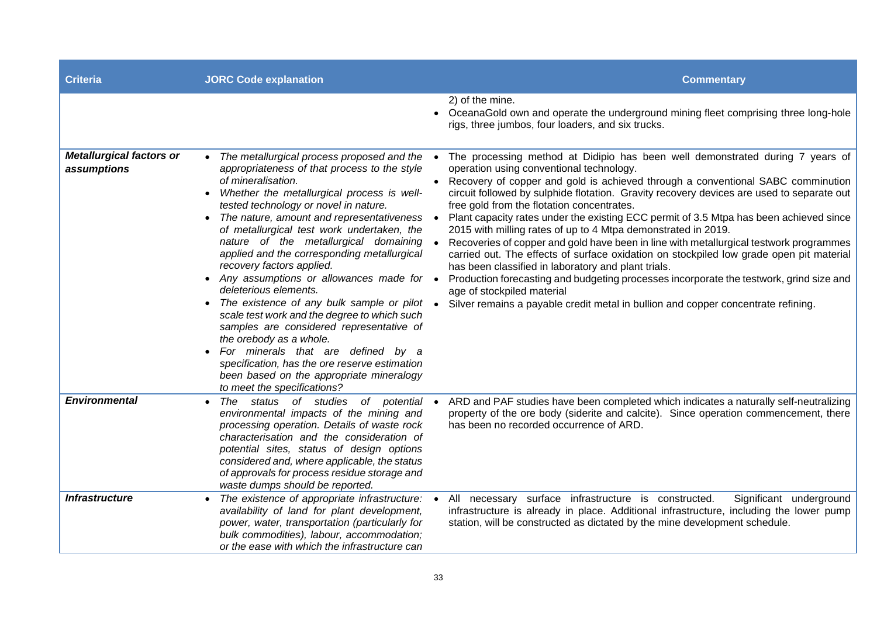| <b>Criteria</b>                                | <b>JORC Code explanation</b>                                                                                                                                                                                                                                                                                                                                                                                                                                                                                                                                                                                                                                                                                                                                                                                                             | <b>Commentary</b>                                                                                                                                                                                                                                                                                                                                                                                                                                                                                                                                                                                                                                                                                                                                                                                                                                                                                                                                                                                        |
|------------------------------------------------|------------------------------------------------------------------------------------------------------------------------------------------------------------------------------------------------------------------------------------------------------------------------------------------------------------------------------------------------------------------------------------------------------------------------------------------------------------------------------------------------------------------------------------------------------------------------------------------------------------------------------------------------------------------------------------------------------------------------------------------------------------------------------------------------------------------------------------------|----------------------------------------------------------------------------------------------------------------------------------------------------------------------------------------------------------------------------------------------------------------------------------------------------------------------------------------------------------------------------------------------------------------------------------------------------------------------------------------------------------------------------------------------------------------------------------------------------------------------------------------------------------------------------------------------------------------------------------------------------------------------------------------------------------------------------------------------------------------------------------------------------------------------------------------------------------------------------------------------------------|
|                                                |                                                                                                                                                                                                                                                                                                                                                                                                                                                                                                                                                                                                                                                                                                                                                                                                                                          | 2) of the mine.<br>• OceanaGold own and operate the underground mining fleet comprising three long-hole<br>rigs, three jumbos, four loaders, and six trucks.                                                                                                                                                                                                                                                                                                                                                                                                                                                                                                                                                                                                                                                                                                                                                                                                                                             |
| <b>Metallurgical factors or</b><br>assumptions | The metallurgical process proposed and the<br>appropriateness of that process to the style<br>of mineralisation.<br>Whether the metallurgical process is well-<br>tested technology or novel in nature.<br>• The nature, amount and representativeness<br>of metallurgical test work undertaken, the<br>nature of the metallurgical domaining<br>applied and the corresponding metallurgical<br>recovery factors applied.<br>• Any assumptions or allowances made for •<br>deleterious elements.<br>• The existence of any bulk sample or pilot<br>scale test work and the degree to which such<br>samples are considered representative of<br>the orebody as a whole.<br>For minerals that are defined by a<br>specification, has the ore reserve estimation<br>been based on the appropriate mineralogy<br>to meet the specifications? | The processing method at Didipio has been well demonstrated during 7 years of<br>$\bullet$<br>operation using conventional technology.<br>• Recovery of copper and gold is achieved through a conventional SABC comminution<br>circuit followed by sulphide flotation. Gravity recovery devices are used to separate out<br>free gold from the flotation concentrates.<br>Plant capacity rates under the existing ECC permit of 3.5 Mtpa has been achieved since<br>2015 with milling rates of up to 4 Mtpa demonstrated in 2019.<br>Recoveries of copper and gold have been in line with metallurgical testwork programmes<br>carried out. The effects of surface oxidation on stockpiled low grade open pit material<br>has been classified in laboratory and plant trials.<br>Production forecasting and budgeting processes incorporate the testwork, grind size and<br>age of stockpiled material<br>Silver remains a payable credit metal in bullion and copper concentrate refining.<br>$\bullet$ |
| <b>Environmental</b>                           | status of studies of potential<br>The<br>environmental impacts of the mining and<br>processing operation. Details of waste rock<br>characterisation and the consideration of<br>potential sites, status of design options<br>considered and, where applicable, the status<br>of approvals for process residue storage and<br>waste dumps should be reported.                                                                                                                                                                                                                                                                                                                                                                                                                                                                             | ARD and PAF studies have been completed which indicates a naturally self-neutralizing<br>property of the ore body (siderite and calcite). Since operation commencement, there<br>has been no recorded occurrence of ARD.                                                                                                                                                                                                                                                                                                                                                                                                                                                                                                                                                                                                                                                                                                                                                                                 |
| <b>Infrastructure</b>                          | The existence of appropriate infrastructure:<br>availability of land for plant development,<br>power, water, transportation (particularly for<br>bulk commodities), labour, accommodation;<br>or the ease with which the infrastructure can                                                                                                                                                                                                                                                                                                                                                                                                                                                                                                                                                                                              | All necessary surface infrastructure is constructed.<br>Significant underground<br>infrastructure is already in place. Additional infrastructure, including the lower pump<br>station, will be constructed as dictated by the mine development schedule.                                                                                                                                                                                                                                                                                                                                                                                                                                                                                                                                                                                                                                                                                                                                                 |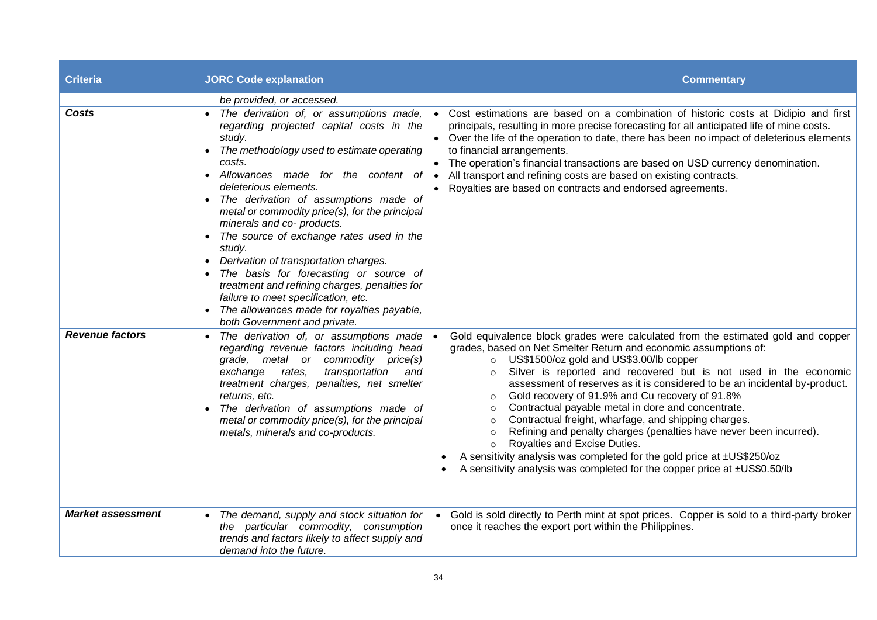| <b>Criteria</b>          | <b>JORC Code explanation</b>                                                                                                                                                                                                                                                                                                                                                                                                                                                                                                                                                                                                                     | <b>Commentary</b>                                                                                                                                                                                                                                                                                                                                                                                                                                                                                                                                                                                                                                                                                                                                                                                                                                                |
|--------------------------|--------------------------------------------------------------------------------------------------------------------------------------------------------------------------------------------------------------------------------------------------------------------------------------------------------------------------------------------------------------------------------------------------------------------------------------------------------------------------------------------------------------------------------------------------------------------------------------------------------------------------------------------------|------------------------------------------------------------------------------------------------------------------------------------------------------------------------------------------------------------------------------------------------------------------------------------------------------------------------------------------------------------------------------------------------------------------------------------------------------------------------------------------------------------------------------------------------------------------------------------------------------------------------------------------------------------------------------------------------------------------------------------------------------------------------------------------------------------------------------------------------------------------|
| Costs                    | be provided, or accessed.<br>regarding projected capital costs in the<br>study.<br>The methodology used to estimate operating<br>costs.<br>Allowances made for the content of<br>deleterious elements.<br>The derivation of assumptions made of<br>metal or commodity price(s), for the principal<br>minerals and co- products.<br>The source of exchange rates used in the<br>study.<br>Derivation of transportation charges.<br>The basis for forecasting or source of<br>treatment and refining charges, penalties for<br>failure to meet specification, etc.<br>• The allowances made for royalties payable,<br>both Government and private. | • The derivation of, or assumptions made, • Cost estimations are based on a combination of historic costs at Didipio and first<br>principals, resulting in more precise forecasting for all anticipated life of mine costs.<br>• Over the life of the operation to date, there has been no impact of deleterious elements<br>to financial arrangements.<br>• The operation's financial transactions are based on USD currency denomination.<br>All transport and refining costs are based on existing contracts.<br>Royalties are based on contracts and endorsed agreements.                                                                                                                                                                                                                                                                                    |
| <b>Revenue factors</b>   | The derivation of, or assumptions made<br>regarding revenue factors including head<br>grade, metal or commodity price(s)<br>rates,<br>transportation<br>exchange<br>and<br>treatment charges, penalties, net smelter<br>returns, etc.<br>The derivation of assumptions made of<br>metal or commodity price(s), for the principal<br>metals, minerals and co-products.                                                                                                                                                                                                                                                                            | Gold equivalence block grades were calculated from the estimated gold and copper<br>$\bullet$<br>grades, based on Net Smelter Return and economic assumptions of:<br>O US\$1500/oz gold and US\$3.00/lb copper<br>Silver is reported and recovered but is not used in the economic<br>$\circ$<br>assessment of reserves as it is considered to be an incidental by-product.<br>Gold recovery of 91.9% and Cu recovery of 91.8%<br>$\circ$<br>Contractual payable metal in dore and concentrate.<br>$\circ$<br>Contractual freight, wharfage, and shipping charges.<br>$\circ$<br>Refining and penalty charges (penalties have never been incurred).<br>$\circ$<br>Royalties and Excise Duties.<br>$\circ$<br>A sensitivity analysis was completed for the gold price at ±US\$250/oz<br>A sensitivity analysis was completed for the copper price at ±US\$0.50/lb |
| <b>Market assessment</b> | • The demand, supply and stock situation for<br>the particular commodity, consumption<br>trends and factors likely to affect supply and<br>demand into the future.                                                                                                                                                                                                                                                                                                                                                                                                                                                                               | Gold is sold directly to Perth mint at spot prices. Copper is sold to a third-party broker<br>once it reaches the export port within the Philippines.                                                                                                                                                                                                                                                                                                                                                                                                                                                                                                                                                                                                                                                                                                            |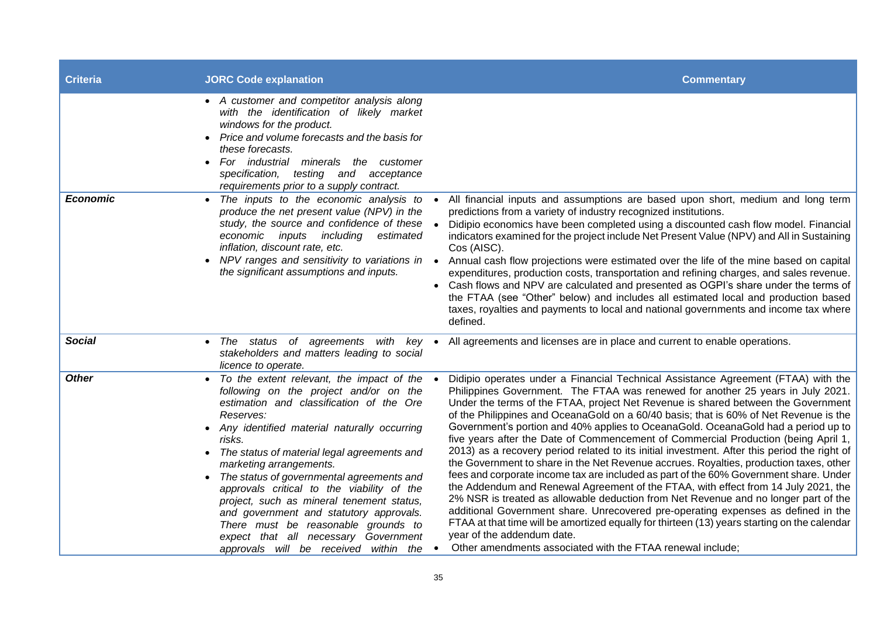| <b>Criteria</b> | <b>JORC Code explanation</b>                                                                                                                                                                                                                                                                                                                                                                                                                                                                                                                                                                     | <b>Commentary</b>                                                                                                                                                                                                                                                                                                                                                                                                                                                                                                                                                                                                                                                                                                                                                                                                                                                                                                                                                                                                                                                                                                                                                                                                                                                                           |
|-----------------|--------------------------------------------------------------------------------------------------------------------------------------------------------------------------------------------------------------------------------------------------------------------------------------------------------------------------------------------------------------------------------------------------------------------------------------------------------------------------------------------------------------------------------------------------------------------------------------------------|---------------------------------------------------------------------------------------------------------------------------------------------------------------------------------------------------------------------------------------------------------------------------------------------------------------------------------------------------------------------------------------------------------------------------------------------------------------------------------------------------------------------------------------------------------------------------------------------------------------------------------------------------------------------------------------------------------------------------------------------------------------------------------------------------------------------------------------------------------------------------------------------------------------------------------------------------------------------------------------------------------------------------------------------------------------------------------------------------------------------------------------------------------------------------------------------------------------------------------------------------------------------------------------------|
|                 | • A customer and competitor analysis along<br>with the identification of likely market<br>windows for the product.<br>Price and volume forecasts and the basis for<br>these forecasts.<br>For industrial minerals the customer<br>specification,<br>testing and<br>acceptance<br>requirements prior to a supply contract.                                                                                                                                                                                                                                                                        |                                                                                                                                                                                                                                                                                                                                                                                                                                                                                                                                                                                                                                                                                                                                                                                                                                                                                                                                                                                                                                                                                                                                                                                                                                                                                             |
| <b>Economic</b> | • The inputs to the economic analysis to<br>produce the net present value (NPV) in the<br>study, the source and confidence of these •<br>economic inputs including<br>estimated<br>inflation, discount rate, etc.<br>NPV ranges and sensitivity to variations in •<br>the significant assumptions and inputs.                                                                                                                                                                                                                                                                                    | All financial inputs and assumptions are based upon short, medium and long term<br>$\bullet$<br>predictions from a variety of industry recognized institutions.<br>Didipio economics have been completed using a discounted cash flow model. Financial<br>indicators examined for the project include Net Present Value (NPV) and All in Sustaining<br>Cos (AISC).<br>Annual cash flow projections were estimated over the life of the mine based on capital<br>expenditures, production costs, transportation and refining charges, and sales revenue.<br>• Cash flows and NPV are calculated and presented as OGPI's share under the terms of<br>the FTAA (see "Other" below) and includes all estimated local and production based<br>taxes, royalties and payments to local and national governments and income tax where<br>defined.                                                                                                                                                                                                                                                                                                                                                                                                                                                   |
| <b>Social</b>   | • The status of agreements with key •<br>stakeholders and matters leading to social<br>licence to operate.                                                                                                                                                                                                                                                                                                                                                                                                                                                                                       | All agreements and licenses are in place and current to enable operations.                                                                                                                                                                                                                                                                                                                                                                                                                                                                                                                                                                                                                                                                                                                                                                                                                                                                                                                                                                                                                                                                                                                                                                                                                  |
| <b>Other</b>    | • To the extent relevant, the impact of the •<br>following on the project and/or on the<br>estimation and classification of the Ore<br>Reserves:<br>• Any identified material naturally occurring<br>risks.<br>The status of material legal agreements and<br>marketing arrangements.<br>The status of governmental agreements and<br>approvals critical to the viability of the<br>project, such as mineral tenement status,<br>and government and statutory approvals.<br>There must be reasonable grounds to<br>expect that all necessary Government<br>approvals will be received within the | Didipio operates under a Financial Technical Assistance Agreement (FTAA) with the<br>Philippines Government. The FTAA was renewed for another 25 years in July 2021.<br>Under the terms of the FTAA, project Net Revenue is shared between the Government<br>of the Philippines and OceanaGold on a 60/40 basis; that is 60% of Net Revenue is the<br>Government's portion and 40% applies to OceanaGold. OceanaGold had a period up to<br>five years after the Date of Commencement of Commercial Production (being April 1,<br>2013) as a recovery period related to its initial investment. After this period the right of<br>the Government to share in the Net Revenue accrues. Royalties, production taxes, other<br>fees and corporate income tax are included as part of the 60% Government share. Under<br>the Addendum and Renewal Agreement of the FTAA, with effect from 14 July 2021, the<br>2% NSR is treated as allowable deduction from Net Revenue and no longer part of the<br>additional Government share. Unrecovered pre-operating expenses as defined in the<br>FTAA at that time will be amortized equally for thirteen (13) years starting on the calendar<br>year of the addendum date.<br>Other amendments associated with the FTAA renewal include;<br>$\bullet$ |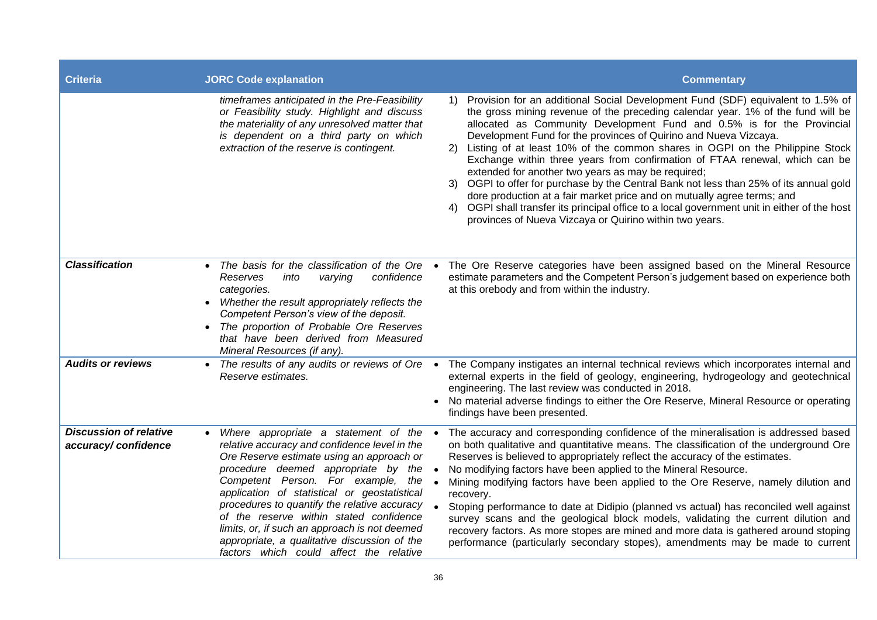| <b>Criteria</b>                                      | <b>JORC Code explanation</b>                                                                                                                                                                                                                                                                                                                                                                                                                                                                             | <b>Commentary</b>                                                                                                                                                                                                                                                                                                                                                                                                                                                                                                                                                                                                                                                                                                                                                                                                                                                              |
|------------------------------------------------------|----------------------------------------------------------------------------------------------------------------------------------------------------------------------------------------------------------------------------------------------------------------------------------------------------------------------------------------------------------------------------------------------------------------------------------------------------------------------------------------------------------|--------------------------------------------------------------------------------------------------------------------------------------------------------------------------------------------------------------------------------------------------------------------------------------------------------------------------------------------------------------------------------------------------------------------------------------------------------------------------------------------------------------------------------------------------------------------------------------------------------------------------------------------------------------------------------------------------------------------------------------------------------------------------------------------------------------------------------------------------------------------------------|
|                                                      | timeframes anticipated in the Pre-Feasibility<br>or Feasibility study. Highlight and discuss<br>the materiality of any unresolved matter that<br>is dependent on a third party on which<br>extraction of the reserve is contingent.                                                                                                                                                                                                                                                                      | 1) Provision for an additional Social Development Fund (SDF) equivalent to 1.5% of<br>the gross mining revenue of the preceding calendar year. 1% of the fund will be<br>allocated as Community Development Fund and 0.5% is for the Provincial<br>Development Fund for the provinces of Quirino and Nueva Vizcaya.<br>Listing of at least 10% of the common shares in OGPI on the Philippine Stock<br>2)<br>Exchange within three years from confirmation of FTAA renewal, which can be<br>extended for another two years as may be required;<br>3) OGPI to offer for purchase by the Central Bank not less than 25% of its annual gold<br>dore production at a fair market price and on mutually agree terms; and<br>4) OGPI shall transfer its principal office to a local government unit in either of the host<br>provinces of Nueva Vizcaya or Quirino within two years. |
| <b>Classification</b>                                | The basis for the classification of the Ore $\bullet$<br>confidence<br>Reserves<br>into<br>varying<br>categories.<br>Whether the result appropriately reflects the<br>Competent Person's view of the deposit.<br>The proportion of Probable Ore Reserves<br>that have been derived from Measured<br>Mineral Resources (if any).                                                                                                                                                                          | The Ore Reserve categories have been assigned based on the Mineral Resource<br>estimate parameters and the Competent Person's judgement based on experience both<br>at this orebody and from within the industry.                                                                                                                                                                                                                                                                                                                                                                                                                                                                                                                                                                                                                                                              |
| <b>Audits or reviews</b>                             | The results of any audits or reviews of Ore $\bullet$<br>Reserve estimates.                                                                                                                                                                                                                                                                                                                                                                                                                              | The Company instigates an internal technical reviews which incorporates internal and<br>external experts in the field of geology, engineering, hydrogeology and geotechnical<br>engineering. The last review was conducted in 2018.<br>No material adverse findings to either the Ore Reserve, Mineral Resource or operating<br>findings have been presented.                                                                                                                                                                                                                                                                                                                                                                                                                                                                                                                  |
| <b>Discussion of relative</b><br>accuracy/confidence | Where appropriate a statement of the •<br>relative accuracy and confidence level in the<br>Ore Reserve estimate using an approach or<br>procedure deemed appropriate by the<br>Competent Person. For example, the<br>application of statistical or geostatistical<br>procedures to quantify the relative accuracy<br>of the reserve within stated confidence<br>limits, or, if such an approach is not deemed<br>appropriate, a qualitative discussion of the<br>factors which could affect the relative | The accuracy and corresponding confidence of the mineralisation is addressed based<br>on both qualitative and quantitative means. The classification of the underground Ore<br>Reserves is believed to appropriately reflect the accuracy of the estimates.<br>No modifying factors have been applied to the Mineral Resource.<br>Mining modifying factors have been applied to the Ore Reserve, namely dilution and<br>recovery.<br>Stoping performance to date at Didipio (planned vs actual) has reconciled well against<br>survey scans and the geological block models, validating the current dilution and<br>recovery factors. As more stopes are mined and more data is gathered around stoping<br>performance (particularly secondary stopes), amendments may be made to current                                                                                      |